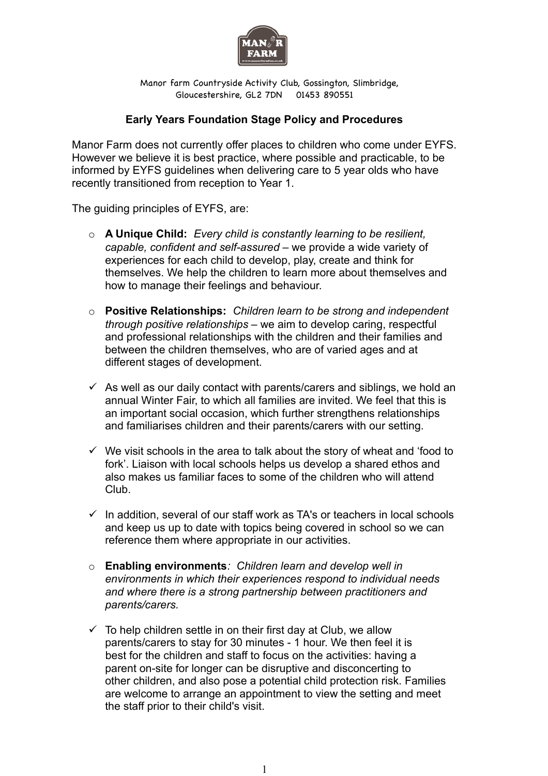

### **Early Years Foundation Stage Policy and Procedures**

Manor Farm does not currently offer places to children who come under EYFS. However we believe it is best practice, where possible and practicable, to be informed by EYFS guidelines when delivering care to 5 year olds who have recently transitioned from reception to Year 1.

The guiding principles of EYFS, are:

- o **A Unique Child:** *Every child is constantly learning to be resilient, capable, confident and self-assured* – we provide a wide variety of experiences for each child to develop, play, create and think for themselves. We help the children to learn more about themselves and how to manage their feelings and behaviour.
- o **Positive Relationships:** *Children learn to be strong and independent through positive relationships* – we aim to develop caring, respectful and professional relationships with the children and their families and between the children themselves, who are of varied ages and at different stages of development.
- $\checkmark$  As well as our daily contact with parents/carers and siblings, we hold an annual Winter Fair, to which all families are invited. We feel that this is an important social occasion, which further strengthens relationships and familiarises children and their parents/carers with our setting.
- $\checkmark$  We visit schools in the area to talk about the story of wheat and 'food to fork'. Liaison with local schools helps us develop a shared ethos and also makes us familiar faces to some of the children who will attend Club.
- $\checkmark$  In addition, several of our staff work as TA's or teachers in local schools and keep us up to date with topics being covered in school so we can reference them where appropriate in our activities.
- o **Enabling environments***: Children learn and develop well in environments in which their experiences respond to individual needs and where there is a strong partnership between practitioners and parents/carers.*
- $\checkmark$  To help children settle in on their first day at Club, we allow parents/carers to stay for 30 minutes - 1 hour. We then feel it is best for the children and staff to focus on the activities: having a parent on-site for longer can be disruptive and disconcerting to other children, and also pose a potential child protection risk. Families are welcome to arrange an appointment to view the setting and meet the staff prior to their child's visit.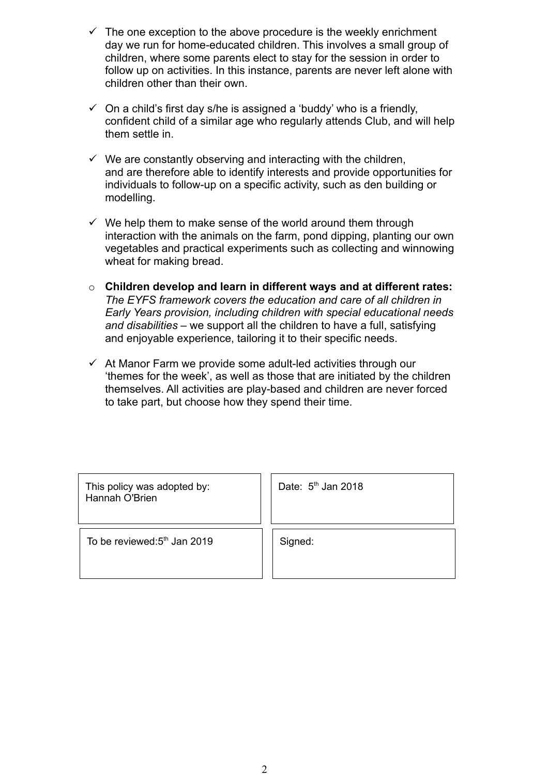- $\checkmark$  The one exception to the above procedure is the weekly enrichment day we run for home-educated children. This involves a small group of children, where some parents elect to stay for the session in order to follow up on activities. In this instance, parents are never left alone with children other than their own.
- $\checkmark$  On a child's first day s/he is assigned a 'buddy' who is a friendly, confident child of a similar age who regularly attends Club, and will help them settle in.
- $\checkmark$  We are constantly observing and interacting with the children, and are therefore able to identify interests and provide opportunities for individuals to follow-up on a specific activity, such as den building or modelling.
- $\checkmark$  We help them to make sense of the world around them through interaction with the animals on the farm, pond dipping, planting our own vegetables and practical experiments such as collecting and winnowing wheat for making bread.
- o **Children develop and learn in different ways and at different rates:**  *The EYFS framework covers the education and care of all children in Early Years provision, including children with special educational needs and disabilities* – we support all the children to have a full, satisfying and enjoyable experience, tailoring it to their specific needs.
- $\checkmark$  At Manor Farm we provide some adult-led activities through our 'themes for the week', as well as those that are initiated by the children themselves. All activities are play-based and children are never forced to take part, but choose how they spend their time.

| This policy was adopted by:<br>Hannah O'Brien | Date: 5 <sup>th</sup> Jan 2018 |
|-----------------------------------------------|--------------------------------|
| To be reviewed:5 <sup>th</sup> Jan 2019       | Signed:                        |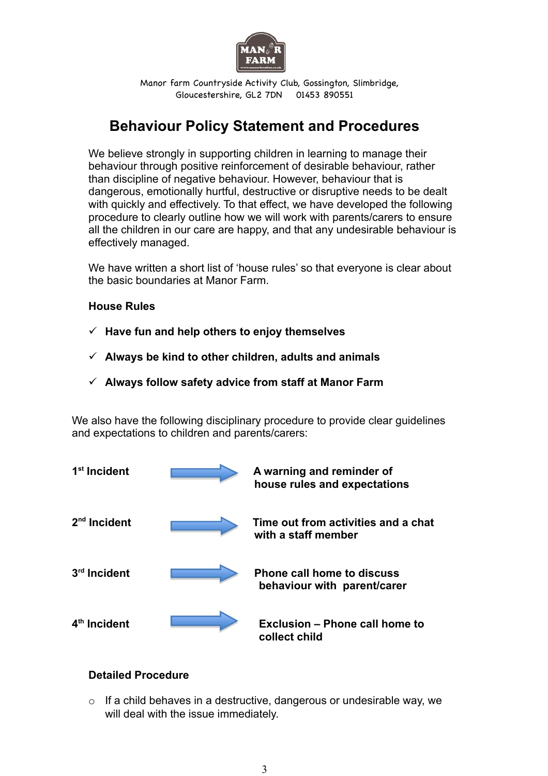

### **Behaviour Policy Statement and Procedures**

We believe strongly in supporting children in learning to manage their behaviour through positive reinforcement of desirable behaviour, rather than discipline of negative behaviour. However, behaviour that is dangerous, emotionally hurtful, destructive or disruptive needs to be dealt with quickly and effectively. To that effect, we have developed the following procedure to clearly outline how we will work with parents/carers to ensure all the children in our care are happy, and that any undesirable behaviour is effectively managed.

We have written a short list of 'house rules' so that everyone is clear about the basic boundaries at Manor Farm.

#### **House Rules**

- **Have fun and help others to enjoy themselves**
- **Always be kind to other children, adults and animals**
- **Always follow safety advice from staff at Manor Farm**

We also have the following disciplinary procedure to provide clear guidelines and expectations to children and parents/carers:



### **Detailed Procedure**

 $\circ$  If a child behaves in a destructive, dangerous or undesirable way, we will deal with the issue immediately.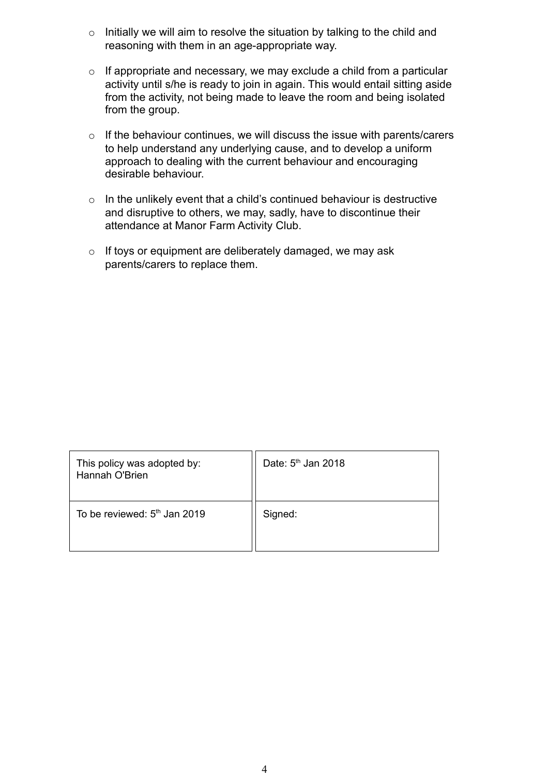- $\circ$  Initially we will aim to resolve the situation by talking to the child and reasoning with them in an age-appropriate way.
- $\circ$  If appropriate and necessary, we may exclude a child from a particular activity until s/he is ready to join in again. This would entail sitting aside from the activity, not being made to leave the room and being isolated from the group.
- o If the behaviour continues, we will discuss the issue with parents/carers to help understand any underlying cause, and to develop a uniform approach to dealing with the current behaviour and encouraging desirable behaviour.
- $\circ$  In the unlikely event that a child's continued behaviour is destructive and disruptive to others, we may, sadly, have to discontinue their attendance at Manor Farm Activity Club.
- o If toys or equipment are deliberately damaged, we may ask parents/carers to replace them.

| This policy was adopted by:<br>Hannah O'Brien | Date: 5 <sup>th</sup> Jan 2018 |
|-----------------------------------------------|--------------------------------|
| To be reviewed: 5 <sup>th</sup> Jan 2019      | Signed:                        |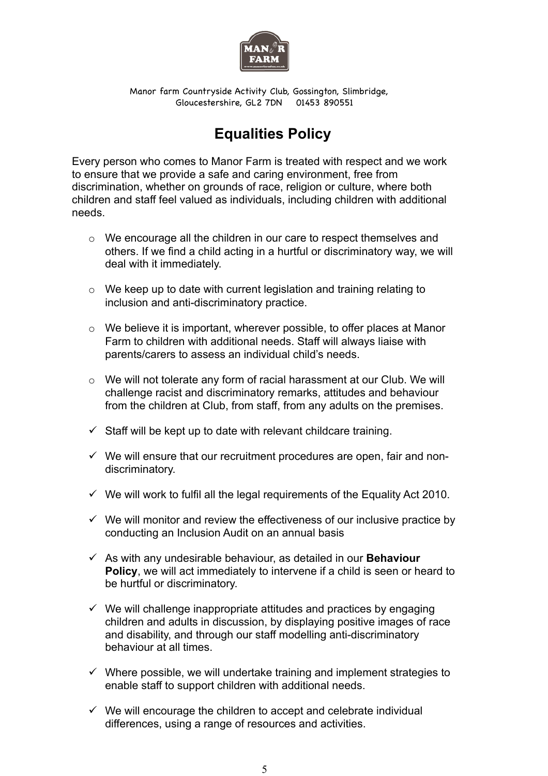

# **Equalities Policy**

Every person who comes to Manor Farm is treated with respect and we work to ensure that we provide a safe and caring environment, free from discrimination, whether on grounds of race, religion or culture, where both children and staff feel valued as individuals, including children with additional needs.

- o We encourage all the children in our care to respect themselves and others. If we find a child acting in a hurtful or discriminatory way, we will deal with it immediately.
- o We keep up to date with current legislation and training relating to inclusion and anti-discriminatory practice.
- o We believe it is important, wherever possible, to offer places at Manor Farm to children with additional needs. Staff will always liaise with parents/carers to assess an individual child's needs.
- o We will not tolerate any form of racial harassment at our Club. We will challenge racist and discriminatory remarks, attitudes and behaviour from the children at Club, from staff, from any adults on the premises.
- $\checkmark$  Staff will be kept up to date with relevant childcare training.
- $\checkmark$  We will ensure that our recruitment procedures are open, fair and nondiscriminatory.
- $\checkmark$  We will work to fulfil all the legal requirements of the Equality Act 2010.
- $\checkmark$  We will monitor and review the effectiveness of our inclusive practice by conducting an Inclusion Audit on an annual basis
- As with any undesirable behaviour, as detailed in our **Behaviour Policy**, we will act immediately to intervene if a child is seen or heard to be hurtful or discriminatory.
- $\checkmark$  We will challenge inappropriate attitudes and practices by engaging children and adults in discussion, by displaying positive images of race and disability, and through our staff modelling anti-discriminatory behaviour at all times.
- $\checkmark$  Where possible, we will undertake training and implement strategies to enable staff to support children with additional needs.
- $\checkmark$  We will encourage the children to accept and celebrate individual differences, using a range of resources and activities.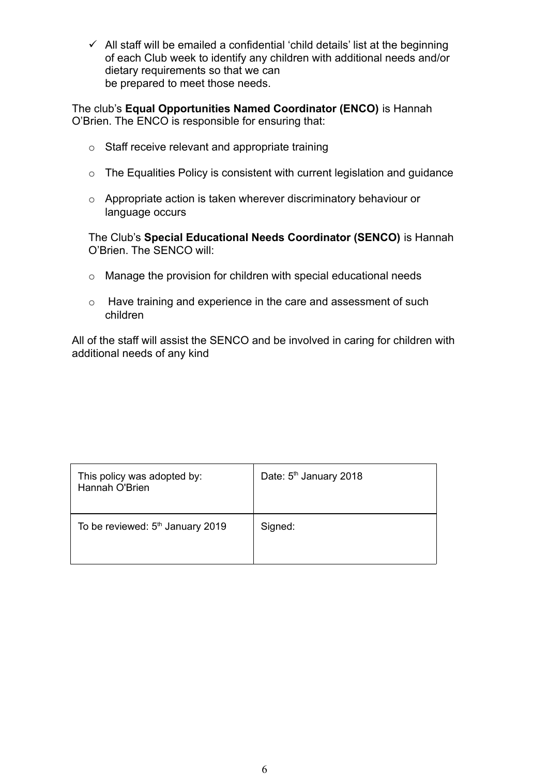$\checkmark$  All staff will be emailed a confidential 'child details' list at the beginning of each Club week to identify any children with additional needs and/or dietary requirements so that we can be prepared to meet those needs.

The club's **Equal Opportunities Named Coordinator (ENCO)** is Hannah O'Brien. The ENCO is responsible for ensuring that:

- o Staff receive relevant and appropriate training
- o The Equalities Policy is consistent with current legislation and guidance
- o Appropriate action is taken wherever discriminatory behaviour or language occurs

The Club's **Special Educational Needs Coordinator (SENCO)** is Hannah O'Brien. The SENCO will:

- o Manage the provision for children with special educational needs
- o Have training and experience in the care and assessment of such children

All of the staff will assist the SENCO and be involved in caring for children with additional needs of any kind

| This policy was adopted by:<br>Hannah O'Brien | Date: 5 <sup>th</sup> January 2018 |
|-----------------------------------------------|------------------------------------|
| To be reviewed: 5 <sup>th</sup> January 2019  | Signed:                            |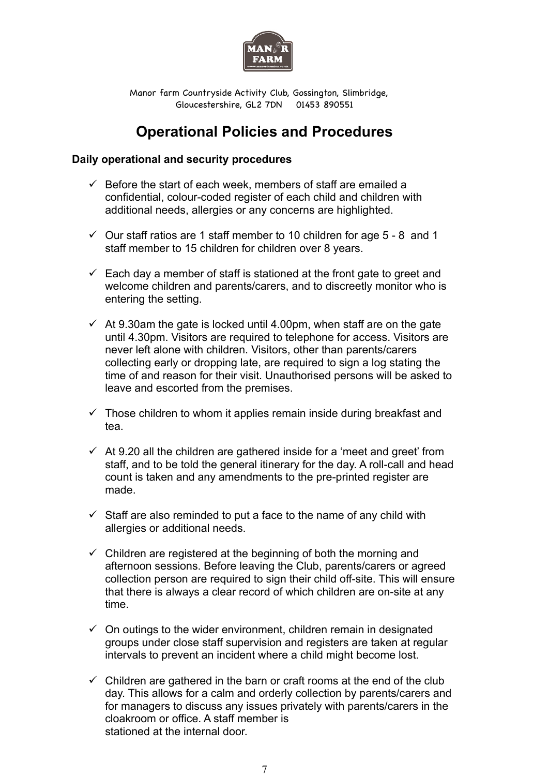

### **Operational Policies and Procedures**

#### **Daily operational and security procedures**

- $\checkmark$  Before the start of each week, members of staff are emailed a confidential, colour-coded register of each child and children with additional needs, allergies or any concerns are highlighted.
- $\checkmark$  Our staff ratios are 1 staff member to 10 children for age 5 8 and 1 staff member to 15 children for children over 8 years.
- $\checkmark$  Each day a member of staff is stationed at the front gate to greet and welcome children and parents/carers, and to discreetly monitor who is entering the setting.
- $\checkmark$  At 9.30am the gate is locked until 4.00pm, when staff are on the gate until 4.30pm. Visitors are required to telephone for access. Visitors are never left alone with children. Visitors, other than parents/carers collecting early or dropping late, are required to sign a log stating the time of and reason for their visit. Unauthorised persons will be asked to leave and escorted from the premises.
- $\checkmark$  Those children to whom it applies remain inside during breakfast and tea.
- $\checkmark$  At 9.20 all the children are gathered inside for a 'meet and greet' from staff, and to be told the general itinerary for the day. A roll-call and head count is taken and any amendments to the pre-printed register are made.
- $\checkmark$  Staff are also reminded to put a face to the name of any child with allergies or additional needs.
- $\checkmark$  Children are registered at the beginning of both the morning and afternoon sessions. Before leaving the Club, parents/carers or agreed collection person are required to sign their child off-site. This will ensure that there is always a clear record of which children are on-site at any time.
- $\checkmark$  On outings to the wider environment, children remain in designated groups under close staff supervision and registers are taken at regular intervals to prevent an incident where a child might become lost.
- $\checkmark$  Children are gathered in the barn or craft rooms at the end of the club day. This allows for a calm and orderly collection by parents/carers and for managers to discuss any issues privately with parents/carers in the cloakroom or office. A staff member is stationed at the internal door.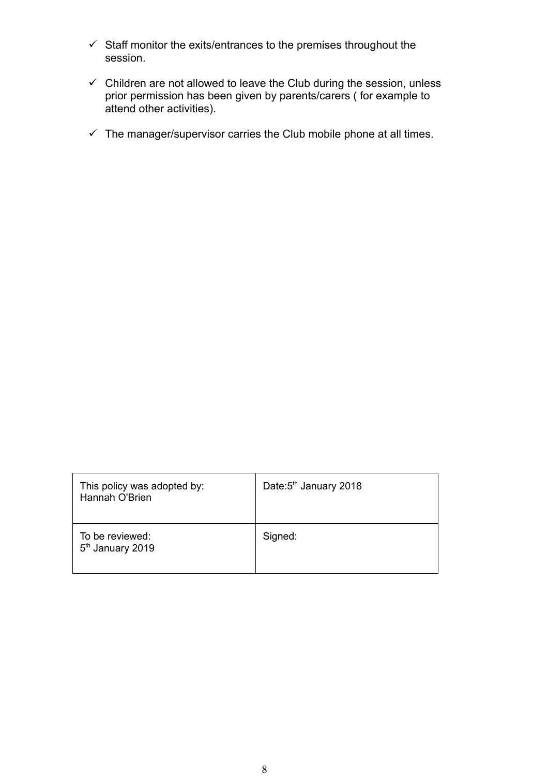- $\checkmark$  Staff monitor the exits/entrances to the premises throughout the session.
- $\checkmark$  Children are not allowed to leave the Club during the session, unless prior permission has been given by parents/carers ( for example to attend other activities).
- $\checkmark$  The manager/supervisor carries the Club mobile phone at all times.

| This policy was adopted by:<br>Hannah O'Brien   | Date:5th January 2018 |
|-------------------------------------------------|-----------------------|
| To be reviewed:<br>5 <sup>th</sup> January 2019 | Signed:               |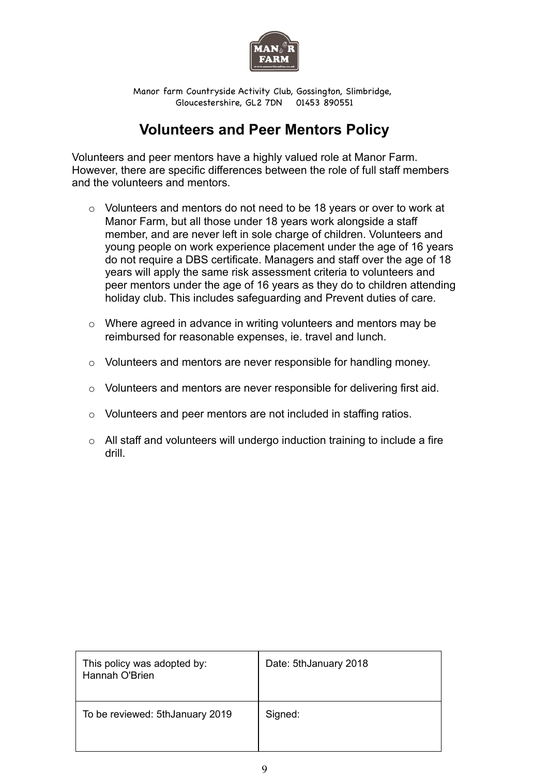

### **Volunteers and Peer Mentors Policy**

Volunteers and peer mentors have a highly valued role at Manor Farm. However, there are specific differences between the role of full staff members and the volunteers and mentors.

- o Volunteers and mentors do not need to be 18 years or over to work at Manor Farm, but all those under 18 years work alongside a staff member, and are never left in sole charge of children. Volunteers and young people on work experience placement under the age of 16 years do not require a DBS certificate. Managers and staff over the age of 18 years will apply the same risk assessment criteria to volunteers and peer mentors under the age of 16 years as they do to children attending holiday club. This includes safeguarding and Prevent duties of care.
- o Where agreed in advance in writing volunteers and mentors may be reimbursed for reasonable expenses, ie. travel and lunch.
- o Volunteers and mentors are never responsible for handling money.
- o Volunteers and mentors are never responsible for delivering first aid.
- o Volunteers and peer mentors are not included in staffing ratios.
- o All staff and volunteers will undergo induction training to include a fire drill.

| This policy was adopted by:<br>Hannah O'Brien | Date: 5thJanuary 2018 |
|-----------------------------------------------|-----------------------|
| To be reviewed: 5th January 2019              | Signed:               |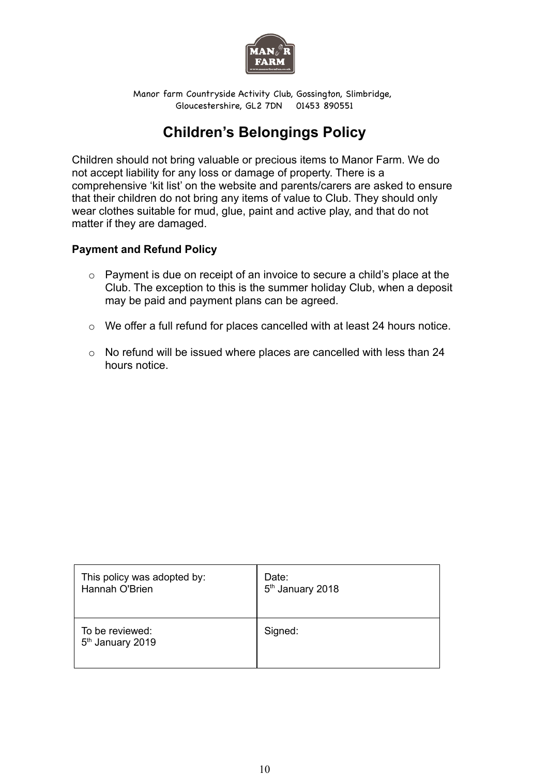

# **Children's Belongings Policy**

Children should not bring valuable or precious items to Manor Farm. We do not accept liability for any loss or damage of property. There is a comprehensive 'kit list' on the website and parents/carers are asked to ensure that their children do not bring any items of value to Club. They should only wear clothes suitable for mud, glue, paint and active play, and that do not matter if they are damaged.

#### **Payment and Refund Policy**

- o Payment is due on receipt of an invoice to secure a child's place at the Club. The exception to this is the summer holiday Club, when a deposit may be paid and payment plans can be agreed.
- o We offer a full refund for places cancelled with at least 24 hours notice.
- o No refund will be issued where places are cancelled with less than 24 hours notice.

| This policy was adopted by:                     | Date:                        |
|-------------------------------------------------|------------------------------|
| Hannah O'Brien                                  | 5 <sup>th</sup> January 2018 |
| To be reviewed:<br>5 <sup>th</sup> January 2019 | Signed:                      |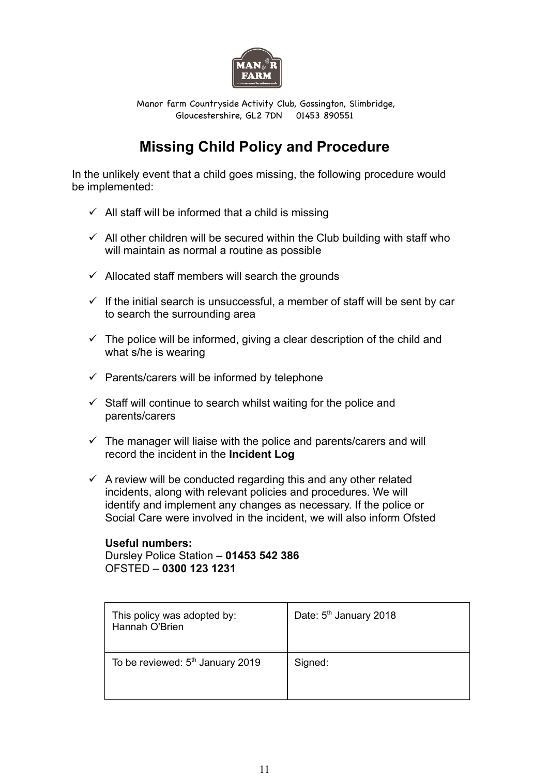

# **Missing Child Policy and Procedure**

In the unlikely event that a child goes missing, the following procedure would be implemented:

- $\checkmark$  All staff will be informed that a child is missing
- $\checkmark$  All other children will be secured within the Club building with staff who will maintain as normal a routine as possible
- $\checkmark$  Allocated staff members will search the grounds
- $\checkmark$  If the initial search is unsuccessful, a member of staff will be sent by car to search the surrounding area
- $\checkmark$  The police will be informed, giving a clear description of the child and what s/he is wearing
- $\checkmark$  Parents/carers will be informed by telephone
- $\checkmark$  Staff will continue to search whilst waiting for the police and parents/carers
- $\checkmark$  The manager will liaise with the police and parents/carers and will record the incident in the **Incident Log**
- $\checkmark$  A review will be conducted regarding this and any other related incidents, along with relevant policies and procedures. We will identify and implement any changes as necessary. If the police or Social Care were involved in the incident, we will also inform Ofsted

#### **Useful numbers:**

Dursley Police Station – **01453 542 386** OFSTED – **0300 123 1231**

| This policy was adopted by:<br>Hannah O'Brien | Date: 5 <sup>th</sup> January 2018 |
|-----------------------------------------------|------------------------------------|
| To be reviewed: 5 <sup>th</sup> January 2019  | Signed:                            |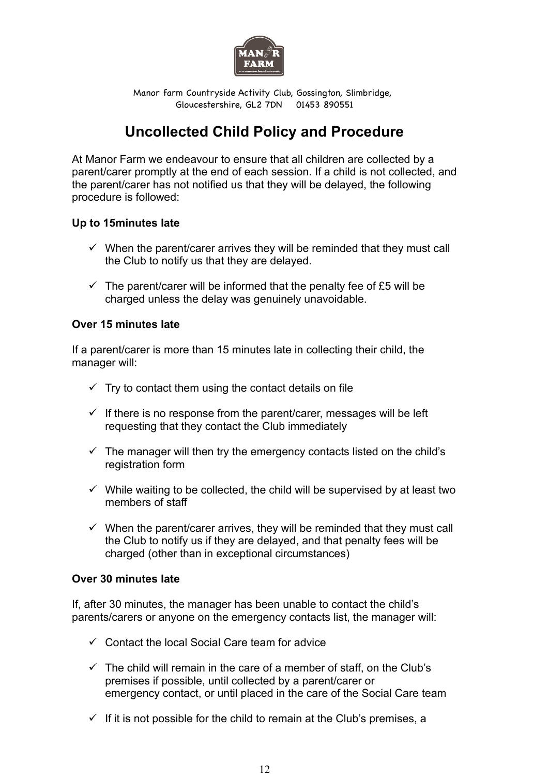

### **Uncollected Child Policy and Procedure**

At Manor Farm we endeavour to ensure that all children are collected by a parent/carer promptly at the end of each session. If a child is not collected, and the parent/carer has not notified us that they will be delayed, the following procedure is followed:

#### **Up to 15minutes late**

- $\checkmark$  When the parent/carer arrives they will be reminded that they must call the Club to notify us that they are delayed.
- $\checkmark$  The parent/carer will be informed that the penalty fee of £5 will be charged unless the delay was genuinely unavoidable.

#### **Over 15 minutes late**

If a parent/carer is more than 15 minutes late in collecting their child, the manager will:

- $\checkmark$  Try to contact them using the contact details on file
- $\checkmark$  If there is no response from the parent/carer, messages will be left requesting that they contact the Club immediately
- $\checkmark$  The manager will then try the emergency contacts listed on the child's registration form
- $\checkmark$  While waiting to be collected, the child will be supervised by at least two members of staff
- $\checkmark$  When the parent/carer arrives, they will be reminded that they must call the Club to notify us if they are delayed, and that penalty fees will be charged (other than in exceptional circumstances)

#### **Over 30 minutes late**

If, after 30 minutes, the manager has been unable to contact the child's parents/carers or anyone on the emergency contacts list, the manager will:

- $\checkmark$  Contact the local Social Care team for advice
- $\checkmark$  The child will remain in the care of a member of staff, on the Club's premises if possible, until collected by a parent/carer or emergency contact, or until placed in the care of the Social Care team
- $\checkmark$  If it is not possible for the child to remain at the Club's premises, a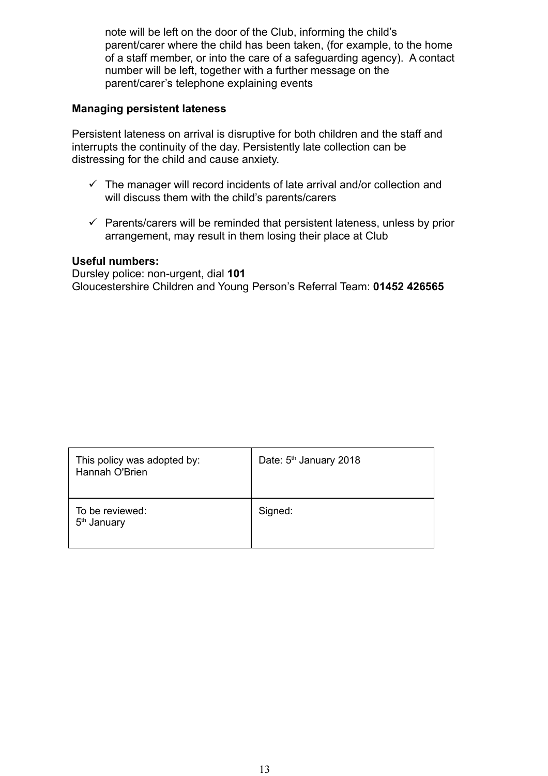note will be left on the door of the Club, informing the child's parent/carer where the child has been taken, (for example, to the home of a staff member, or into the care of a safeguarding agency). A contact number will be left, together with a further message on the parent/carer's telephone explaining events

#### **Managing persistent lateness**

Persistent lateness on arrival is disruptive for both children and the staff and interrupts the continuity of the day. Persistently late collection can be distressing for the child and cause anxiety.

- $\checkmark$  The manager will record incidents of late arrival and/or collection and will discuss them with the child's parents/carers
- $\checkmark$  Parents/carers will be reminded that persistent lateness, unless by prior arrangement, may result in them losing their place at Club

#### **Useful numbers:**

Dursley police: non-urgent, dial **101** Gloucestershire Children and Young Person's Referral Team: **01452 426565**

| This policy was adopted by:<br>Hannah O'Brien | Date: 5 <sup>th</sup> January 2018 |
|-----------------------------------------------|------------------------------------|
| To be reviewed:<br>5 <sup>th</sup> January    | Signed:                            |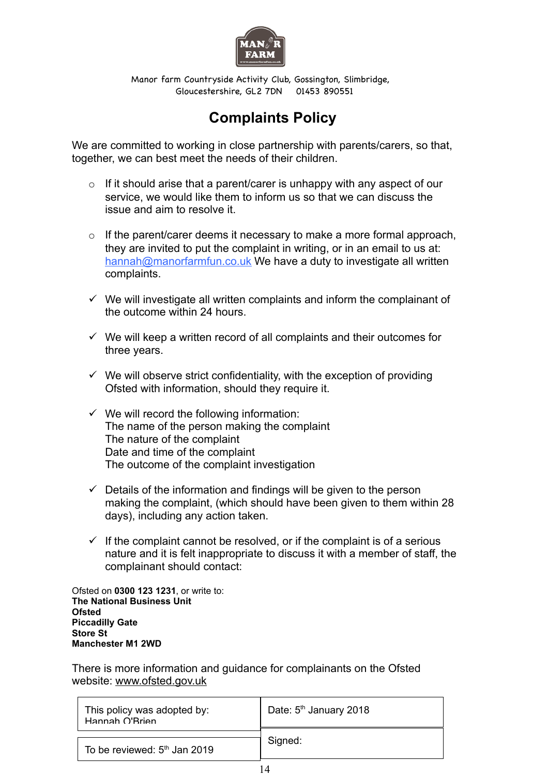

# **Complaints Policy**

We are committed to working in close partnership with parents/carers, so that, together, we can best meet the needs of their children.

- $\circ$  If it should arise that a parent/carer is unhappy with any aspect of our service, we would like them to inform us so that we can discuss the issue and aim to resolve it.
- o If the parent/carer deems it necessary to make a more formal approach, they are invited to put the complaint in writing, or in an email to us at: [hannah@manorfarmfun.co.uk](mailto:hannah@manorfarmfun.co.uk) We have a duty to investigate all written complaints.
- $\checkmark$  We will investigate all written complaints and inform the complainant of the outcome within 24 hours.
- $\checkmark$  We will keep a written record of all complaints and their outcomes for three years.
- $\checkmark$  We will observe strict confidentiality, with the exception of providing Ofsted with information, should they require it.
- $\checkmark$  We will record the following information: The name of the person making the complaint The nature of the complaint Date and time of the complaint The outcome of the complaint investigation
- $\checkmark$  Details of the information and findings will be given to the person making the complaint, (which should have been given to them within 28 days), including any action taken.
- $\checkmark$  If the complaint cannot be resolved, or if the complaint is of a serious nature and it is felt inappropriate to discuss it with a member of staff, the complainant should contact:

Ofsted on **0300 123 1231**, or write to: **The National Business Unit Ofsted Piccadilly Gate Store St Manchester M1 2WD**

There is more information and guidance for complainants on the Ofsted website: [www.ofsted.gov.uk](http://www.ofsted.gov.uk/)

| This policy was adopted by:<br>Hannah O'Rrien | Date: 5 <sup>th</sup> January 2018 |
|-----------------------------------------------|------------------------------------|
| To be reviewed: 5 <sup>th</sup> Jan 2019      | Signed:                            |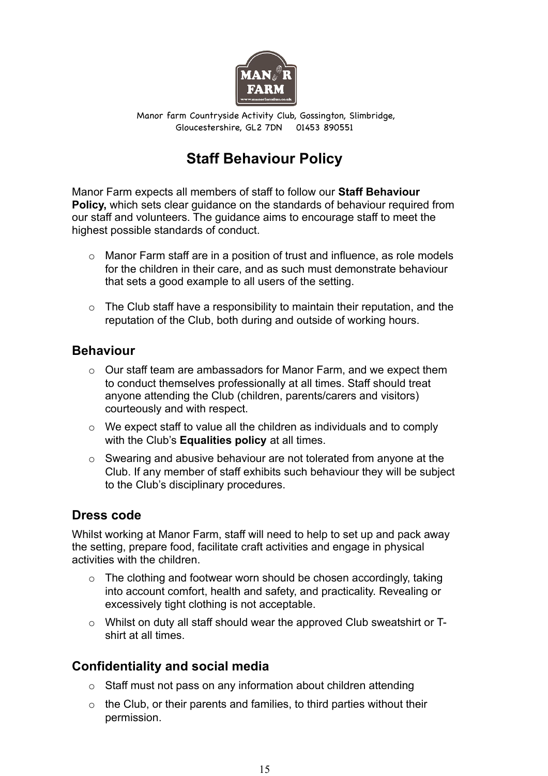

# **Staff Behaviour Policy**

Manor Farm expects all members of staff to follow our **Staff Behaviour Policy,** which sets clear guidance on the standards of behaviour required from our staff and volunteers. The guidance aims to encourage staff to meet the highest possible standards of conduct.

- o Manor Farm staff are in a position of trust and influence, as role models for the children in their care, and as such must demonstrate behaviour that sets a good example to all users of the setting.
- $\circ$  The Club staff have a responsibility to maintain their reputation, and the reputation of the Club, both during and outside of working hours.

### **Behaviour**

- o Our staff team are ambassadors for Manor Farm, and we expect them to conduct themselves professionally at all times. Staff should treat anyone attending the Club (children, parents/carers and visitors) courteously and with respect.
- $\circ$  We expect staff to value all the children as individuals and to comply with the Club's **Equalities policy** at all times.
- o Swearing and abusive behaviour are not tolerated from anyone at the Club. If any member of staff exhibits such behaviour they will be subject to the Club's disciplinary procedures.

### **Dress code**

Whilst working at Manor Farm, staff will need to help to set up and pack away the setting, prepare food, facilitate craft activities and engage in physical activities with the children.

- $\circ$  The clothing and footwear worn should be chosen accordingly, taking into account comfort, health and safety, and practicality. Revealing or excessively tight clothing is not acceptable.
- o Whilst on duty all staff should wear the approved Club sweatshirt or Tshirt at all times.

### **Confidentiality and social media**

- o Staff must not pass on any information about children attending
- $\circ$  the Club, or their parents and families, to third parties without their permission.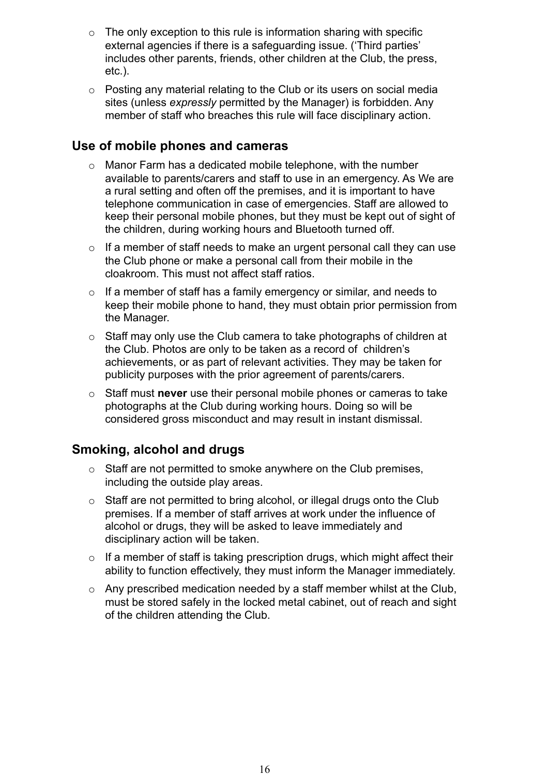- $\circ$  The only exception to this rule is information sharing with specific external agencies if there is a safeguarding issue. ('Third parties' includes other parents, friends, other children at the Club, the press, etc.).
- o Posting any material relating to the Club or its users on social media sites (unless *expressly* permitted by the Manager) is forbidden. Any member of staff who breaches this rule will face disciplinary action.

### **Use of mobile phones and cameras**

- o Manor Farm has a dedicated mobile telephone, with the number available to parents/carers and staff to use in an emergency. As We are a rural setting and often off the premises, and it is important to have telephone communication in case of emergencies. Staff are allowed to keep their personal mobile phones, but they must be kept out of sight of the children, during working hours and Bluetooth turned off.
- $\circ$  If a member of staff needs to make an urgent personal call they can use the Club phone or make a personal call from their mobile in the cloakroom. This must not affect staff ratios.
- $\circ$  If a member of staff has a family emergency or similar, and needs to keep their mobile phone to hand, they must obtain prior permission from the Manager.
- $\circ$  Staff may only use the Club camera to take photographs of children at the Club. Photos are only to be taken as a record of children's achievements, or as part of relevant activities. They may be taken for publicity purposes with the prior agreement of parents/carers.
- o Staff must **never** use their personal mobile phones or cameras to take photographs at the Club during working hours. Doing so will be considered gross misconduct and may result in instant dismissal.

### **Smoking, alcohol and drugs**

- o Staff are not permitted to smoke anywhere on the Club premises, including the outside play areas.
- o Staff are not permitted to bring alcohol, or illegal drugs onto the Club premises. If a member of staff arrives at work under the influence of alcohol or drugs, they will be asked to leave immediately and disciplinary action will be taken.
- $\circ$  If a member of staff is taking prescription drugs, which might affect their ability to function effectively, they must inform the Manager immediately.
- o Any prescribed medication needed by a staff member whilst at the Club, must be stored safely in the locked metal cabinet, out of reach and sight of the children attending the Club.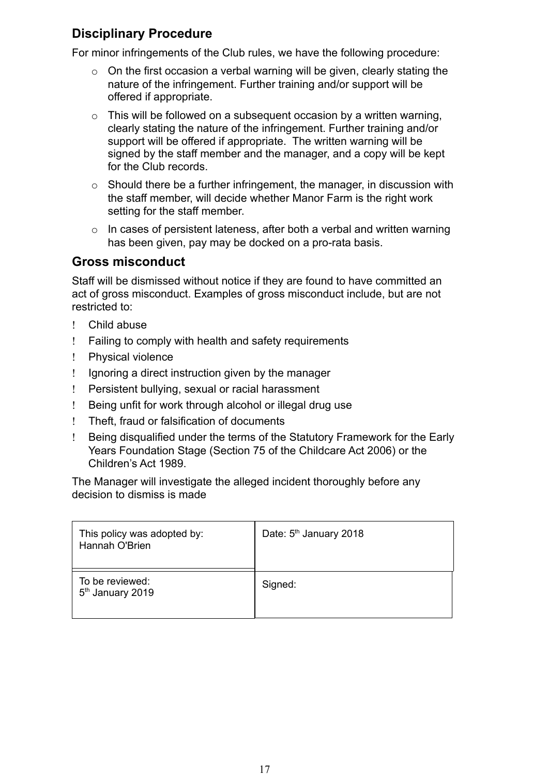### **Disciplinary Procedure**

For minor infringements of the Club rules, we have the following procedure:

- $\circ$  On the first occasion a verbal warning will be given, clearly stating the nature of the infringement. Further training and/or support will be offered if appropriate.
- $\circ$  This will be followed on a subsequent occasion by a written warning, clearly stating the nature of the infringement. Further training and/or support will be offered if appropriate. The written warning will be signed by the staff member and the manager, and a copy will be kept for the Club records.
- $\circ$  Should there be a further infringement, the manager, in discussion with the staff member, will decide whether Manor Farm is the right work setting for the staff member.
- $\circ$  In cases of persistent lateness, after both a verbal and written warning has been given, pay may be docked on a pro-rata basis.

### **Gross misconduct**

Staff will be dismissed without notice if they are found to have committed an act of gross misconduct. Examples of gross misconduct include, but are not restricted to:

- Child abuse
- Failing to comply with health and safety requirements
- Physical violence
- I lanoring a direct instruction given by the manager
- Persistent bullying, sexual or racial harassment
- Being unfit for work through alcohol or illegal drug use
- Theft, fraud or falsification of documents
- Being disqualified under the terms of the Statutory Framework for the Early Years Foundation Stage (Section 75 of the Childcare Act 2006) or the Children's Act 1989.

The Manager will investigate the alleged incident thoroughly before any decision to dismiss is made

| This policy was adopted by:<br>Hannah O'Brien   | Date: 5 <sup>th</sup> January 2018 |
|-------------------------------------------------|------------------------------------|
| To be reviewed:<br>5 <sup>th</sup> January 2019 | Signed:                            |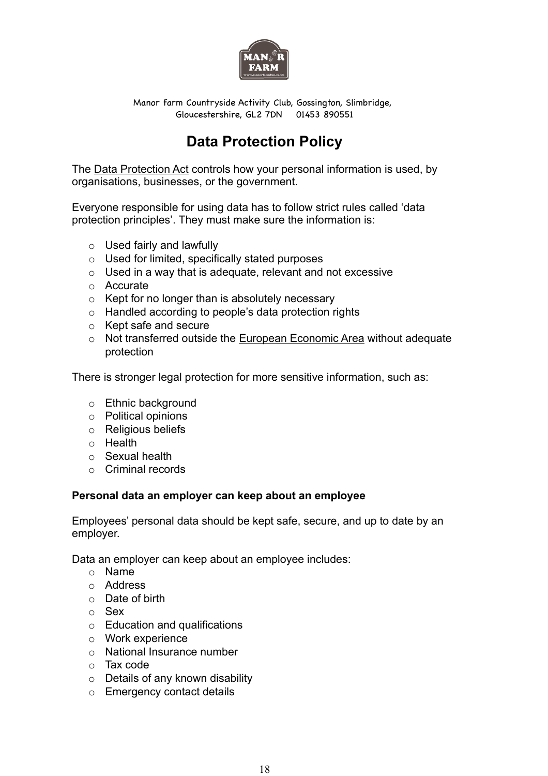

# **Data Protection Policy**

The [Data Protection Act](http://www.legislation.gov.uk/ukpga/1998/29/contents) controls how your personal information is used, by organisations, businesses, or the government.

Everyone responsible for using data has to follow strict rules called 'data protection principles'. They must make sure the information is:

- $\circ$  Used fairly and lawfully
- o Used for limited, specifically stated purposes
- o Used in a way that is adequate, relevant and not excessive
- o Accurate
- o Kept for no longer than is absolutely necessary
- o Handled according to people's data protection rights
- o Kept safe and secure
- o Not transferred outside the [European Economic Area](https://www.gov.uk/eu-eea) without adequate protection

There is stronger legal protection for more sensitive information, such as:

- o Ethnic background
- o Political opinions
- o Religious beliefs
- o Health
- o Sexual health
- o Criminal records

#### **Personal data an employer can keep about an employee**

Employees' personal data should be kept safe, secure, and up to date by an employer.

Data an employer can keep about an employee includes:

- o Name
- o Address
- o Date of birth
- o Sex
- o Education and qualifications
- o Work experience
- o National Insurance number
- o Tax code
- o Details of any known disability
- o Emergency contact details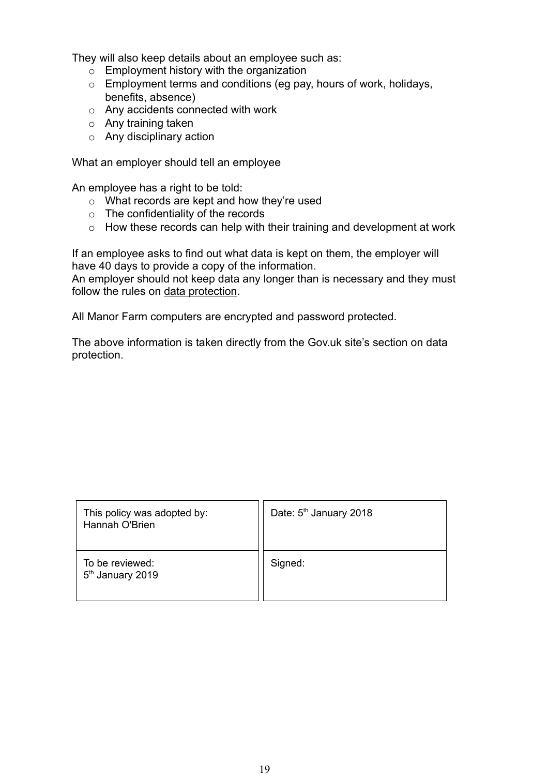They will also keep details about an employee such as:

- o Employment history with the organization
- $\circ$  Employment terms and conditions (eg pay, hours of work, holidays, benefits, absence)
- o Any accidents connected with work
- o Any training taken
- o Any disciplinary action

What an employer should tell an employee

An employee has a right to be told:

- o What records are kept and how they're used
- $\circ$  The confidentiality of the records
- o How these records can help with their training and development at work

If an employee asks to find out what data is kept on them, the employer will have 40 days to provide a copy of the information.

An employer should not keep data any longer than is necessary and they must follow the rules on [data protection.](https://www.gov.uk/data-protection)

All Manor Farm computers are encrypted and password protected.

The above information is taken directly from the Gov.uk site's section on data protection.

| This policy was adopted by:<br>Hannah O'Brien   | Date: 5 <sup>th</sup> January 2018 |
|-------------------------------------------------|------------------------------------|
| To be reviewed:<br>5 <sup>th</sup> January 2019 | Signed:                            |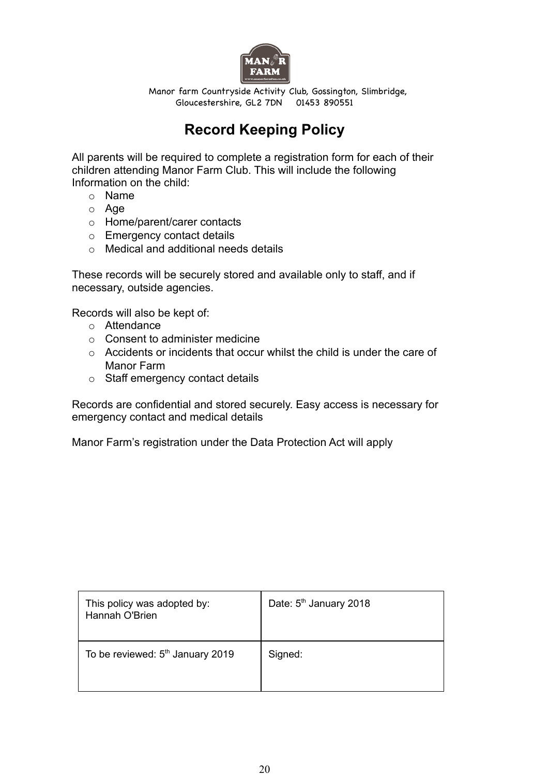

# **Record Keeping Policy**

All parents will be required to complete a registration form for each of their children attending Manor Farm Club. This will include the following Information on the child:

- o Name
- o Age
- o Home/parent/carer contacts
- o Emergency contact details
- o Medical and additional needs details

These records will be securely stored and available only to staff, and if necessary, outside agencies.

Records will also be kept of:

- o Attendance
- o Consent to administer medicine
- $\circ$  Accidents or incidents that occur whilst the child is under the care of Manor Farm
- o Staff emergency contact details

Records are confidential and stored securely. Easy access is necessary for emergency contact and medical details

Manor Farm's registration under the Data Protection Act will apply

| This policy was adopted by:<br>Hannah O'Brien | Date: 5 <sup>th</sup> January 2018 |
|-----------------------------------------------|------------------------------------|
| To be reviewed: 5 <sup>th</sup> January 2019  | Signed:                            |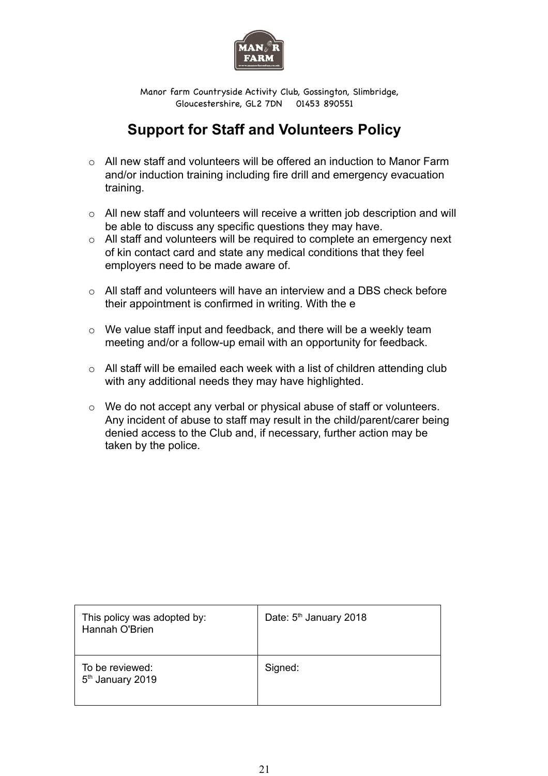

# **Support for Staff and Volunteers Policy**

- o All new staff and volunteers will be offered an induction to Manor Farm and/or induction training including fire drill and emergency evacuation training.
- o All new staff and volunteers will receive a written job description and will be able to discuss any specific questions they may have.
- o All staff and volunteers will be required to complete an emergency next of kin contact card and state any medical conditions that they feel employers need to be made aware of.
- $\circ$  All staff and volunteers will have an interview and a DBS check before their appointment is confirmed in writing. With the e
- o We value staff input and feedback, and there will be a weekly team meeting and/or a follow-up email with an opportunity for feedback.
- o All staff will be emailed each week with a list of children attending club with any additional needs they may have highlighted.
- o We do not accept any verbal or physical abuse of staff or volunteers. Any incident of abuse to staff may result in the child/parent/carer being denied access to the Club and, if necessary, further action may be taken by the police.

| This policy was adopted by:<br>Hannah O'Brien   | Date: 5 <sup>th</sup> January 2018 |
|-------------------------------------------------|------------------------------------|
| To be reviewed:<br>5 <sup>th</sup> January 2019 | Signed:                            |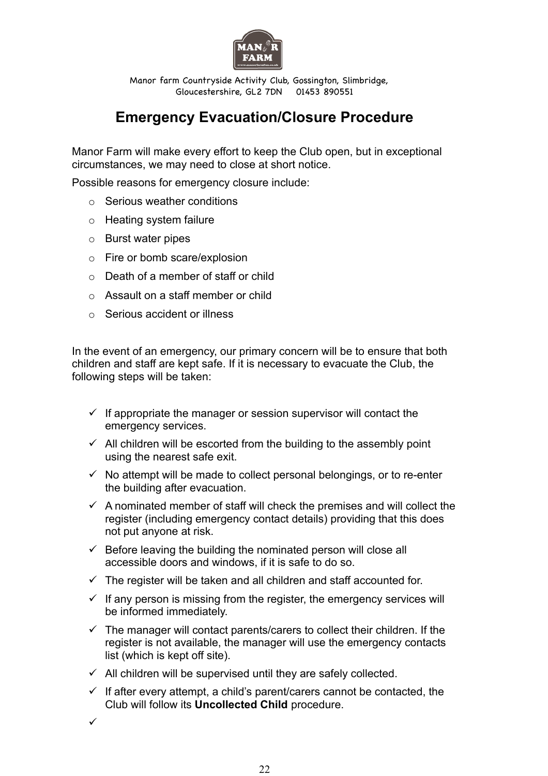

# **Emergency Evacuation/Closure Procedure**

Manor Farm will make every effort to keep the Club open, but in exceptional circumstances, we may need to close at short notice.

Possible reasons for emergency closure include:

- $\circ$  Serious weather conditions
- o Heating system failure
- o Burst water pipes
- o Fire or bomb scare/explosion
- o Death of a member of staff or child
- o Assault on a staff member or child
- o Serious accident or illness

In the event of an emergency, our primary concern will be to ensure that both children and staff are kept safe. If it is necessary to evacuate the Club, the following steps will be taken:

- $\checkmark$  If appropriate the manager or session supervisor will contact the emergency services.
- $\checkmark$  All children will be escorted from the building to the assembly point using the nearest safe exit.
- $\checkmark$  No attempt will be made to collect personal belongings, or to re-enter the building after evacuation.
- $\checkmark$  A nominated member of staff will check the premises and will collect the register (including emergency contact details) providing that this does not put anyone at risk.
- $\checkmark$  Before leaving the building the nominated person will close all accessible doors and windows, if it is safe to do so.
- $\checkmark$  The register will be taken and all children and staff accounted for.
- $\checkmark$  If any person is missing from the register, the emergency services will be informed immediately.
- $\checkmark$  The manager will contact parents/carers to collect their children. If the register is not available, the manager will use the emergency contacts list (which is kept off site).
- $\checkmark$  All children will be supervised until they are safely collected.
- $\checkmark$  If after every attempt, a child's parent/carers cannot be contacted, the Club will follow its **Uncollected Child** procedure.
- $\checkmark$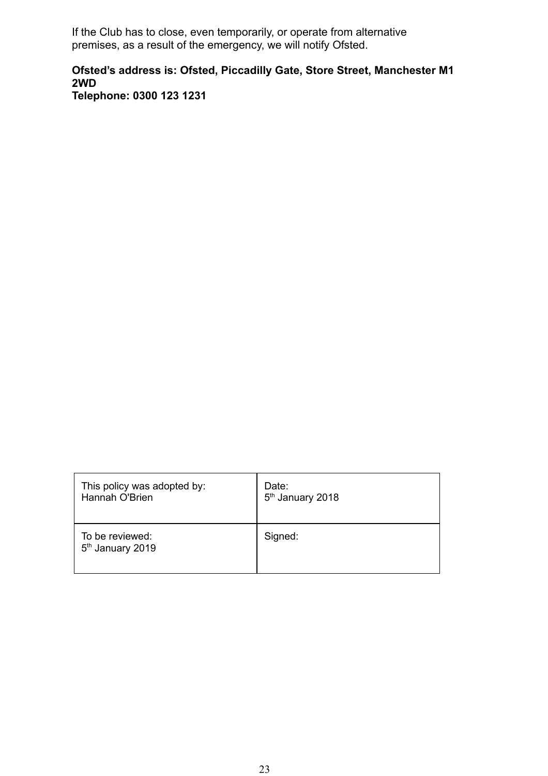If the Club has to close, even temporarily, or operate from alternative premises, as a result of the emergency, we will notify Ofsted.

**Ofsted's address is: Ofsted, Piccadilly Gate, Store Street, Manchester M1 2WD Telephone: 0300 123 1231** 

| This policy was adopted by:                     | Date:                        |
|-------------------------------------------------|------------------------------|
| Hannah O'Brien                                  | 5 <sup>th</sup> January 2018 |
| To be reviewed:<br>5 <sup>th</sup> January 2019 | Signed:                      |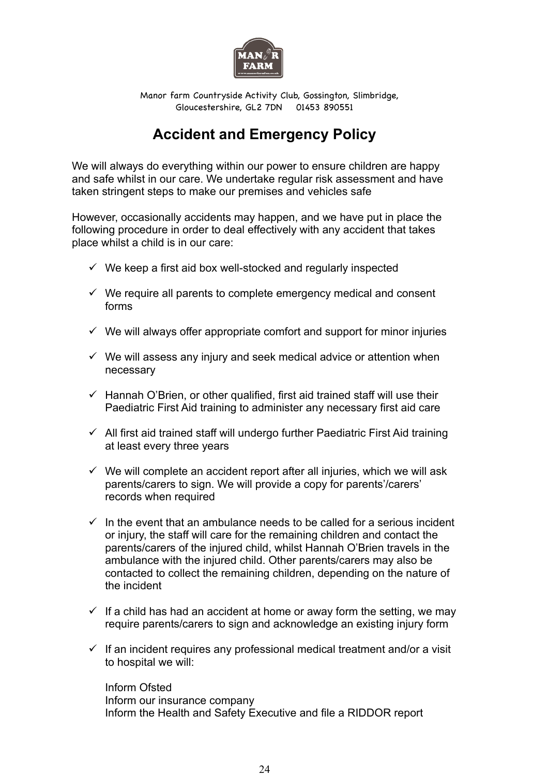

# **Accident and Emergency Policy**

We will always do everything within our power to ensure children are happy and safe whilst in our care. We undertake regular risk assessment and have taken stringent steps to make our premises and vehicles safe

However, occasionally accidents may happen, and we have put in place the following procedure in order to deal effectively with any accident that takes place whilst a child is in our care:

- $\checkmark$  We keep a first aid box well-stocked and regularly inspected
- $\checkmark$  We require all parents to complete emergency medical and consent forms
- $\checkmark$  We will always offer appropriate comfort and support for minor injuries
- $\checkmark$  We will assess any injury and seek medical advice or attention when necessary
- $\checkmark$  Hannah O'Brien, or other qualified, first aid trained staff will use their Paediatric First Aid training to administer any necessary first aid care
- $\checkmark$  All first aid trained staff will undergo further Paediatric First Aid training at least every three years
- $\checkmark$  We will complete an accident report after all injuries, which we will ask parents/carers to sign. We will provide a copy for parents'/carers' records when required
- $\checkmark$  In the event that an ambulance needs to be called for a serious incident or injury, the staff will care for the remaining children and contact the parents/carers of the injured child, whilst Hannah O'Brien travels in the ambulance with the injured child. Other parents/carers may also be contacted to collect the remaining children, depending on the nature of the incident
- $\checkmark$  If a child has had an accident at home or away form the setting, we may require parents/carers to sign and acknowledge an existing injury form
- $\checkmark$  If an incident requires any professional medical treatment and/or a visit to hospital we will:

Inform Ofsted Inform our insurance company Inform the Health and Safety Executive and file a RIDDOR report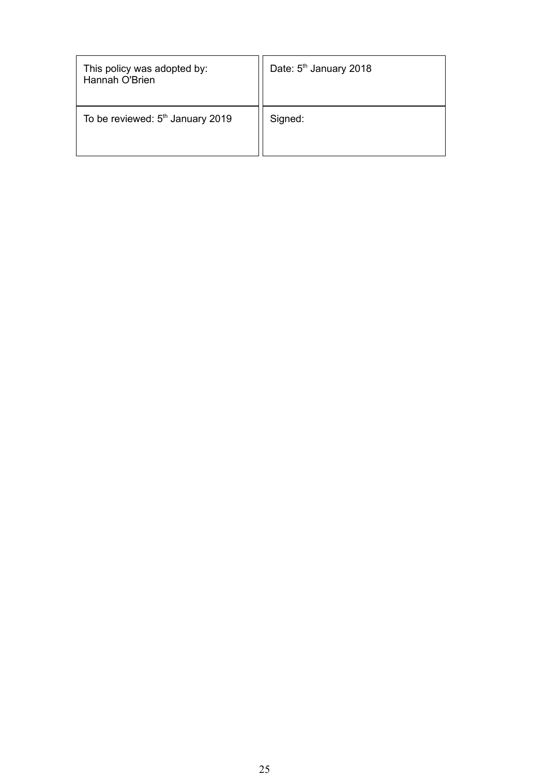| This policy was adopted by:<br>Hannah O'Brien | Date: 5 <sup>th</sup> January 2018 |
|-----------------------------------------------|------------------------------------|
| To be reviewed: 5 <sup>th</sup> January 2019  | Signed:                            |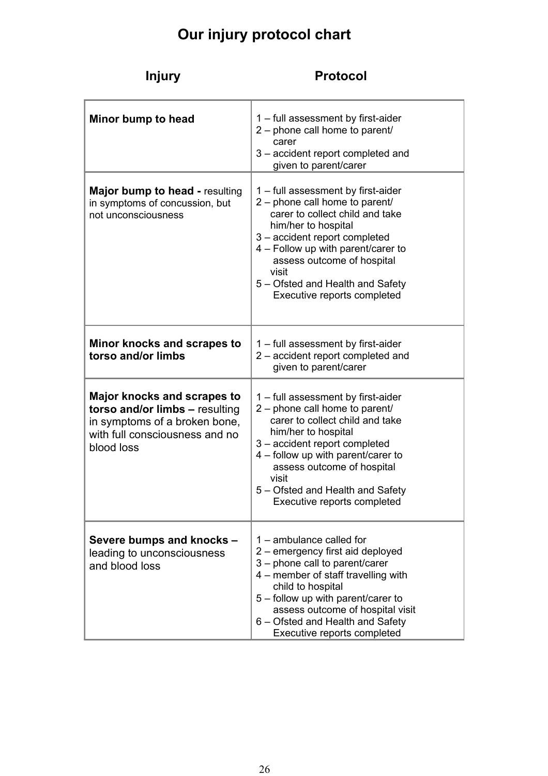# **Our injury protocol chart**

# **Injury Protocol**

| Minor bump to head<br><b>Major bump to head - resulting</b><br>in symptoms of concussion, but<br>not unconsciousness                           | 1 – full assessment by first-aider<br>2 - phone call home to parent/<br>carer<br>3 – accident report completed and<br>given to parent/carer<br>1 – full assessment by first-aider<br>$2$ – phone call home to parent/<br>carer to collect child and take<br>him/her to hospital<br>3 - accident report completed<br>4 - Follow up with parent/carer to<br>assess outcome of hospital<br>visit<br>5 – Ofsted and Health and Safety<br>Executive reports completed |
|------------------------------------------------------------------------------------------------------------------------------------------------|------------------------------------------------------------------------------------------------------------------------------------------------------------------------------------------------------------------------------------------------------------------------------------------------------------------------------------------------------------------------------------------------------------------------------------------------------------------|
|                                                                                                                                                |                                                                                                                                                                                                                                                                                                                                                                                                                                                                  |
| Minor knocks and scrapes to<br>torso and/or limbs                                                                                              | 1 – full assessment by first-aider<br>2 - accident report completed and<br>given to parent/carer                                                                                                                                                                                                                                                                                                                                                                 |
| Major knocks and scrapes to<br>torso and/or limbs - resulting<br>in symptoms of a broken bone,<br>with full consciousness and no<br>blood loss | 1 – full assessment by first-aider<br>2 - phone call home to parent/<br>carer to collect child and take<br>him/her to hospital<br>3 - accident report completed<br>4 – follow up with parent/carer to<br>assess outcome of hospital<br>visit<br>5 – Ofsted and Health and Safety<br>Executive reports completed                                                                                                                                                  |
| Severe bumps and knocks -<br>leading to unconsciousness<br>and blood loss                                                                      | 1 - ambulance called for<br>2 - emergency first aid deployed<br>3 - phone call to parent/carer<br>4 – member of staff travelling with<br>child to hospital<br>5 - follow up with parent/carer to<br>assess outcome of hospital visit<br>6 – Ofsted and Health and Safety<br>Executive reports completed                                                                                                                                                          |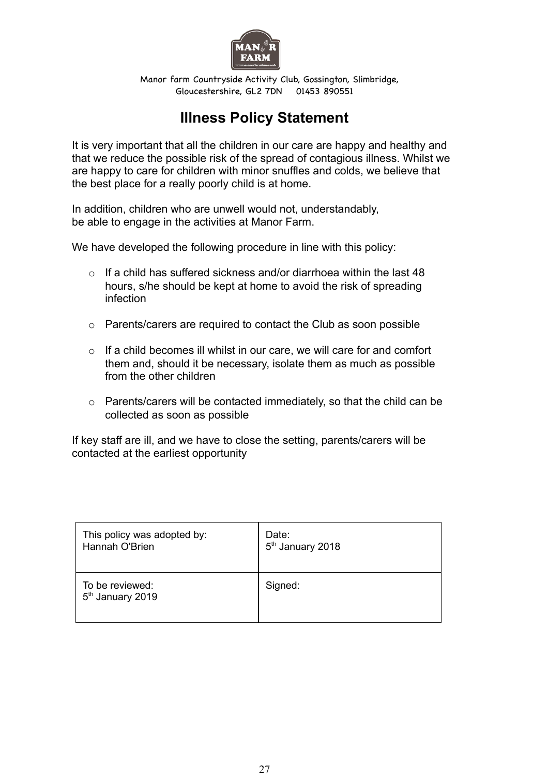

# **Illness Policy Statement**

It is very important that all the children in our care are happy and healthy and that we reduce the possible risk of the spread of contagious illness. Whilst we are happy to care for children with minor snuffles and colds, we believe that the best place for a really poorly child is at home.

In addition, children who are unwell would not, understandably, be able to engage in the activities at Manor Farm.

We have developed the following procedure in line with this policy:

- $\circ$  If a child has suffered sickness and/or diarrhoea within the last 48 hours, s/he should be kept at home to avoid the risk of spreading infection
- o Parents/carers are required to contact the Club as soon possible
- $\circ$  If a child becomes ill whilst in our care, we will care for and comfort them and, should it be necessary, isolate them as much as possible from the other children
- o Parents/carers will be contacted immediately, so that the child can be collected as soon as possible

If key staff are ill, and we have to close the setting, parents/carers will be contacted at the earliest opportunity

| This policy was adopted by:                     | Date:                        |
|-------------------------------------------------|------------------------------|
| Hannah O'Brien                                  | 5 <sup>th</sup> January 2018 |
| To be reviewed:<br>5 <sup>th</sup> January 2019 | Signed:                      |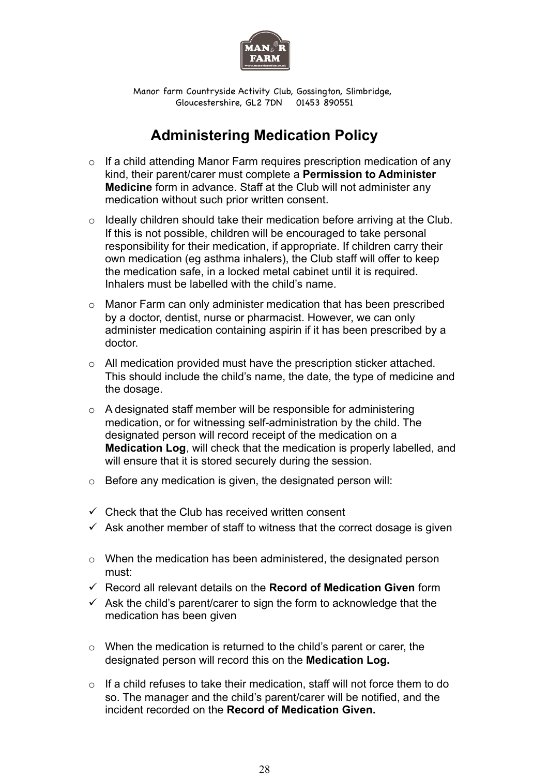

# **Administering Medication Policy**

- o If a child attending Manor Farm requires prescription medication of any kind, their parent/carer must complete a **Permission to Administer Medicine** form in advance. Staff at the Club will not administer any medication without such prior written consent.
- $\circ$  Ideally children should take their medication before arriving at the Club. If this is not possible, children will be encouraged to take personal responsibility for their medication, if appropriate. If children carry their own medication (eg asthma inhalers), the Club staff will offer to keep the medication safe, in a locked metal cabinet until it is required. Inhalers must be labelled with the child's name.
- $\circ$  Manor Farm can only administer medication that has been prescribed by a doctor, dentist, nurse or pharmacist. However, we can only administer medication containing aspirin if it has been prescribed by a doctor.
- o All medication provided must have the prescription sticker attached. This should include the child's name, the date, the type of medicine and the dosage.
- o A designated staff member will be responsible for administering medication, or for witnessing self-administration by the child. The designated person will record receipt of the medication on a **Medication Log**, will check that the medication is properly labelled, and will ensure that it is stored securely during the session.
- $\circ$  Before any medication is given, the designated person will:
- $\checkmark$  Check that the Club has received written consent
- $\checkmark$  Ask another member of staff to witness that the correct dosage is given
- o When the medication has been administered, the designated person must:
- Record all relevant details on the **Record of Medication Given** form
- $\checkmark$  Ask the child's parent/carer to sign the form to acknowledge that the medication has been given
- $\circ$  When the medication is returned to the child's parent or carer, the designated person will record this on the **Medication Log.**
- o If a child refuses to take their medication, staff will not force them to do so. The manager and the child's parent/carer will be notified, and the incident recorded on the **Record of Medication Given.**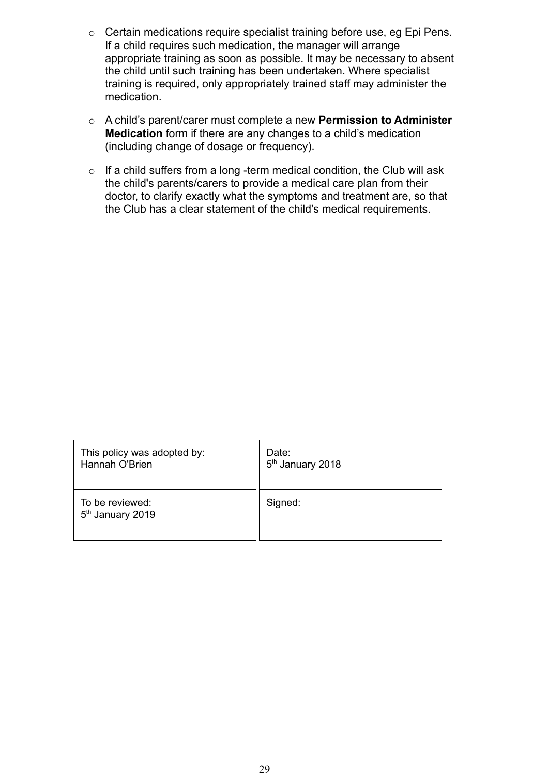- o Certain medications require specialist training before use, eg Epi Pens. If a child requires such medication, the manager will arrange appropriate training as soon as possible. It may be necessary to absent the child until such training has been undertaken. Where specialist training is required, only appropriately trained staff may administer the medication.
- o A child's parent/carer must complete a new **Permission to Administer Medication** form if there are any changes to a child's medication (including change of dosage or frequency).
- $\circ$  If a child suffers from a long -term medical condition, the Club will ask the child's parents/carers to provide a medical care plan from their doctor, to clarify exactly what the symptoms and treatment are, so that the Club has a clear statement of the child's medical requirements.

| This policy was adopted by:                     | Date:                        |
|-------------------------------------------------|------------------------------|
| Hannah O'Brien                                  | 5 <sup>th</sup> January 2018 |
| To be reviewed:<br>5 <sup>th</sup> January 2019 | Signed:                      |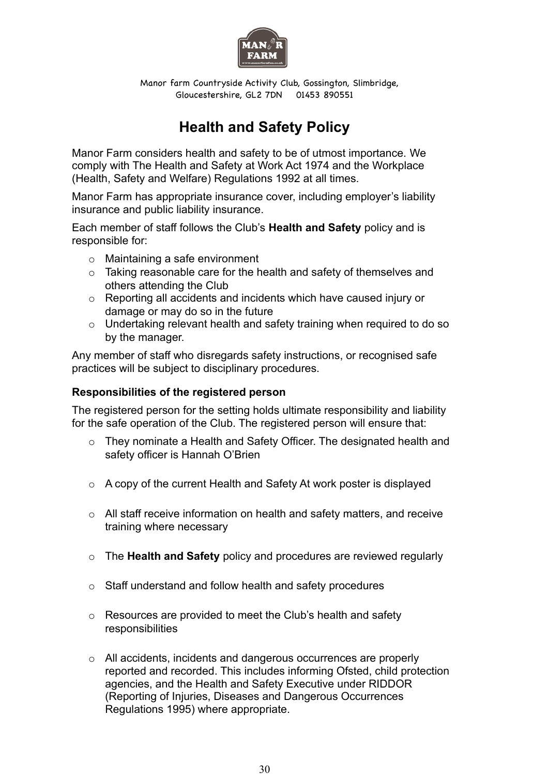

# **Health and Safety Policy**

Manor Farm considers health and safety to be of utmost importance. We comply with The Health and Safety at Work Act 1974 and the Workplace (Health, Safety and Welfare) Regulations 1992 at all times.

Manor Farm has appropriate insurance cover, including employer's liability insurance and public liability insurance.

Each member of staff follows the Club's **Health and Safety** policy and is responsible for:

- o Maintaining a safe environment
- o Taking reasonable care for the health and safety of themselves and others attending the Club
- o Reporting all accidents and incidents which have caused injury or damage or may do so in the future
- o Undertaking relevant health and safety training when required to do so by the manager.

Any member of staff who disregards safety instructions, or recognised safe practices will be subject to disciplinary procedures.

### **Responsibilities of the registered person**

The registered person for the setting holds ultimate responsibility and liability for the safe operation of the Club. The registered person will ensure that:

- o They nominate a Health and Safety Officer. The designated health and safety officer is Hannah O'Brien
- o A copy of the current Health and Safety At work poster is displayed
- o All staff receive information on health and safety matters, and receive training where necessary
- o The **Health and Safety** policy and procedures are reviewed regularly
- o Staff understand and follow health and safety procedures
- o Resources are provided to meet the Club's health and safety **responsibilities**
- o All accidents, incidents and dangerous occurrences are properly reported and recorded. This includes informing Ofsted, child protection agencies, and the Health and Safety Executive under RIDDOR (Reporting of Injuries, Diseases and Dangerous Occurrences Regulations 1995) where appropriate.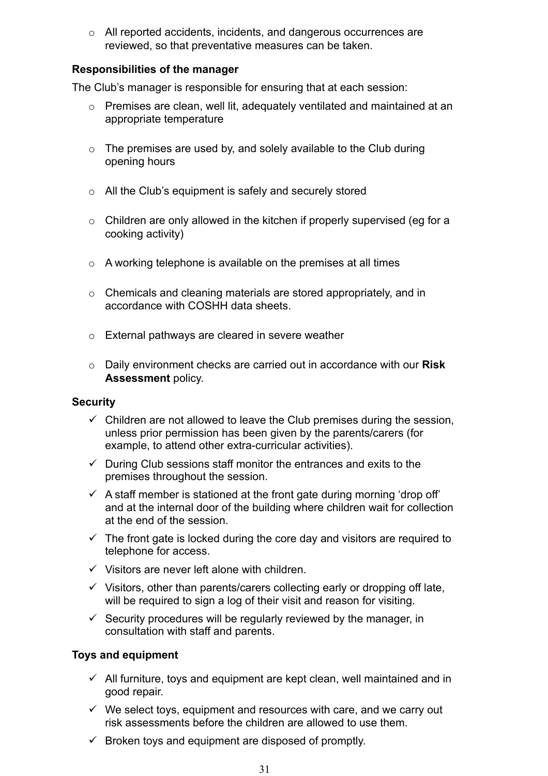o All reported accidents, incidents, and dangerous occurrences are reviewed, so that preventative measures can be taken.

#### **Responsibilities of the manager**

The Club's manager is responsible for ensuring that at each session:

- o Premises are clean, well lit, adequately ventilated and maintained at an appropriate temperature
- $\circ$  The premises are used by, and solely available to the Club during opening hours
- o All the Club's equipment is safely and securely stored
- o Children are only allowed in the kitchen if properly supervised (eg for a cooking activity)
- o A working telephone is available on the premises at all times
- o Chemicals and cleaning materials are stored appropriately, and in accordance with COSHH data sheets.
- o External pathways are cleared in severe weather
- o Daily environment checks are carried out in accordance with our **Risk Assessment** policy.

#### **Security**

- $\checkmark$  Children are not allowed to leave the Club premises during the session, unless prior permission has been given by the parents/carers (for example, to attend other extra-curricular activities).
- $\checkmark$  During Club sessions staff monitor the entrances and exits to the premises throughout the session.
- $\checkmark$  A staff member is stationed at the front gate during morning 'drop off' and at the internal door of the building where children wait for collection at the end of the session.
- $\checkmark$  The front gate is locked during the core day and visitors are required to telephone for access.
- $\checkmark$  Visitors are never left alone with children.
- $\checkmark$  Visitors, other than parents/carers collecting early or dropping off late, will be required to sign a log of their visit and reason for visiting.
- $\checkmark$  Security procedures will be regularly reviewed by the manager, in consultation with staff and parents.

#### **Toys and equipment**

- $\checkmark$  All furniture, toys and equipment are kept clean, well maintained and in good repair.
- $\checkmark$  We select toys, equipment and resources with care, and we carry out risk assessments before the children are allowed to use them.
- $\checkmark$  Broken toys and equipment are disposed of promptly.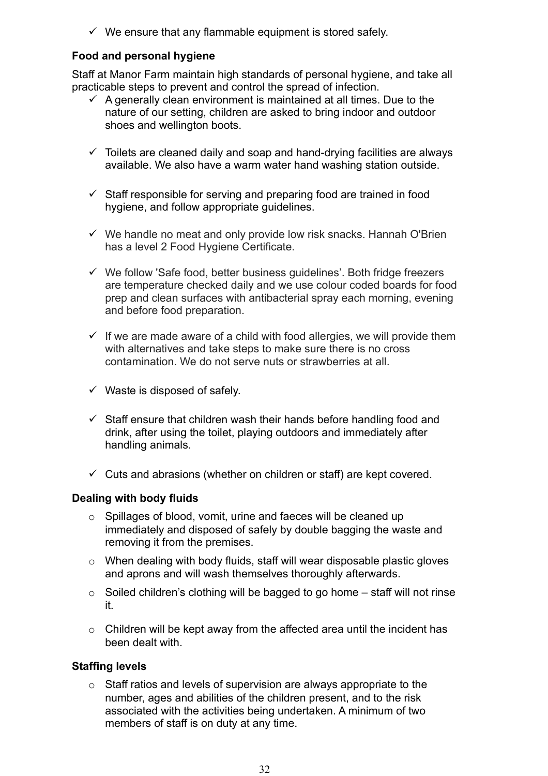$\checkmark$  We ensure that any flammable equipment is stored safely.

### **Food and personal hygiene**

Staff at Manor Farm maintain high standards of personal hygiene, and take all practicable steps to prevent and control the spread of infection.

- $\checkmark$  A generally clean environment is maintained at all times. Due to the nature of our setting, children are asked to bring indoor and outdoor shoes and wellington boots.
- $\checkmark$  Toilets are cleaned daily and soap and hand-drying facilities are always available. We also have a warm water hand washing station outside.
- $\checkmark$  Staff responsible for serving and preparing food are trained in food hygiene, and follow appropriate guidelines.
- $\checkmark$  We handle no meat and only provide low risk snacks. Hannah O'Brien has a level 2 Food Hygiene Certificate.
- $\checkmark$  We follow 'Safe food, better business guidelines'. Both fridge freezers are temperature checked daily and we use colour coded boards for food prep and clean surfaces with antibacterial spray each morning, evening and before food preparation.
- $\checkmark$  If we are made aware of a child with food allergies, we will provide them with alternatives and take steps to make sure there is no cross contamination. We do not serve nuts or strawberries at all.
- $\checkmark$  Waste is disposed of safely.
- $\checkmark$  Staff ensure that children wash their hands before handling food and drink, after using the toilet, playing outdoors and immediately after handling animals.
- $\checkmark$  Cuts and abrasions (whether on children or staff) are kept covered.

#### **Dealing with body fluids**

- o Spillages of blood, vomit, urine and faeces will be cleaned up immediately and disposed of safely by double bagging the waste and removing it from the premises.
- o When dealing with body fluids, staff will wear disposable plastic gloves and aprons and will wash themselves thoroughly afterwards.
- $\circ$  Soiled children's clothing will be bagged to go home staff will not rinse it.
- $\circ$  Children will be kept away from the affected area until the incident has been dealt with

#### **Staffing levels**

o Staff ratios and levels of supervision are always appropriate to the number, ages and abilities of the children present, and to the risk associated with the activities being undertaken. A minimum of two members of staff is on duty at any time.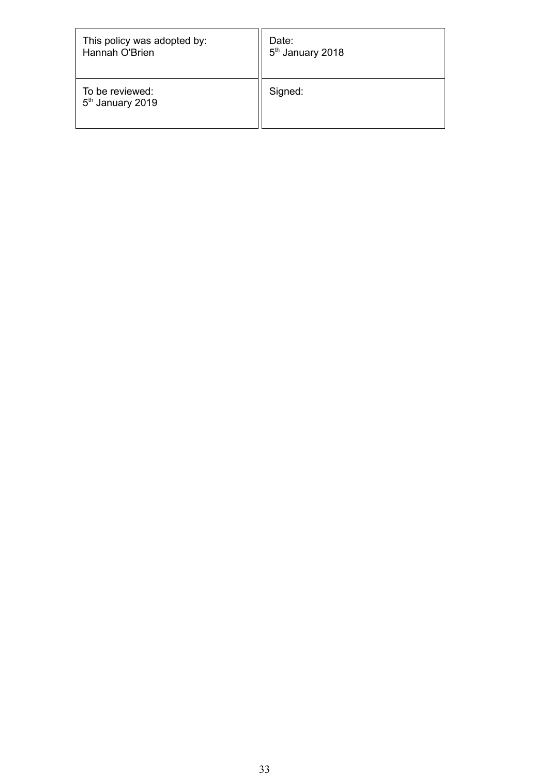| This policy was adopted by:                     | Date:                        |
|-------------------------------------------------|------------------------------|
| Hannah O'Brien                                  | 5 <sup>th</sup> January 2018 |
| To be reviewed:<br>5 <sup>th</sup> January 2019 | Signed:                      |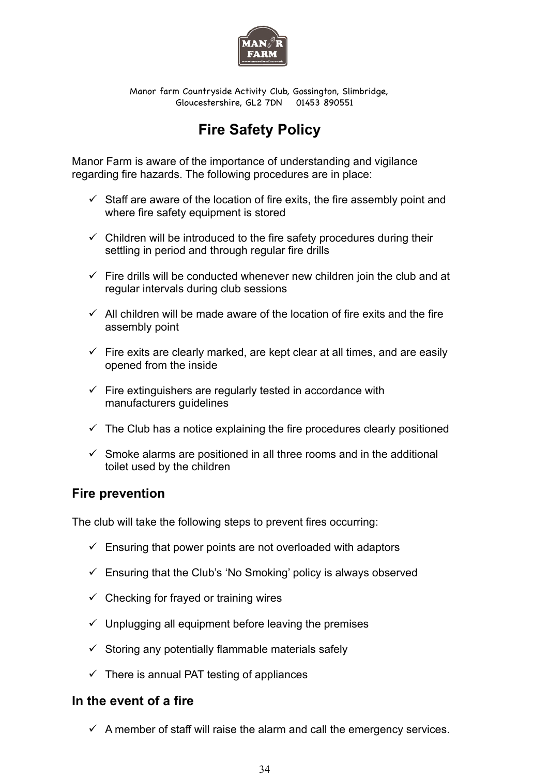

# **Fire Safety Policy**

Manor Farm is aware of the importance of understanding and vigilance regarding fire hazards. The following procedures are in place:

- $\checkmark$  Staff are aware of the location of fire exits, the fire assembly point and where fire safety equipment is stored
- $\checkmark$  Children will be introduced to the fire safety procedures during their settling in period and through regular fire drills
- $\checkmark$  Fire drills will be conducted whenever new children join the club and at regular intervals during club sessions
- $\checkmark$  All children will be made aware of the location of fire exits and the fire assembly point
- $\checkmark$  Fire exits are clearly marked, are kept clear at all times, and are easily opened from the inside
- $\checkmark$  Fire extinguishers are regularly tested in accordance with manufacturers guidelines
- $\checkmark$  The Club has a notice explaining the fire procedures clearly positioned
- $\checkmark$  Smoke alarms are positioned in all three rooms and in the additional toilet used by the children

### **Fire prevention**

The club will take the following steps to prevent fires occurring:

- $\checkmark$  Ensuring that power points are not overloaded with adaptors
- $\checkmark$  Ensuring that the Club's 'No Smoking' policy is always observed
- $\checkmark$  Checking for frayed or training wires
- $\checkmark$  Unplugging all equipment before leaving the premises
- $\checkmark$  Storing any potentially flammable materials safely
- $\checkmark$  There is annual PAT testing of appliances

### **In the event of a fire**

 $\checkmark$  A member of staff will raise the alarm and call the emergency services.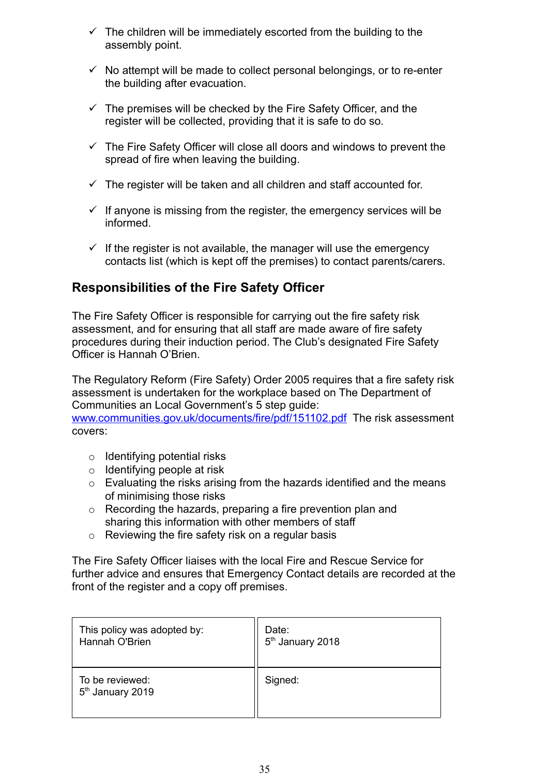- $\checkmark$  The children will be immediately escorted from the building to the assembly point.
- $\checkmark$  No attempt will be made to collect personal belongings, or to re-enter the building after evacuation.
- $\checkmark$  The premises will be checked by the Fire Safety Officer, and the register will be collected, providing that it is safe to do so.
- $\checkmark$  The Fire Safety Officer will close all doors and windows to prevent the spread of fire when leaving the building.
- $\checkmark$  The register will be taken and all children and staff accounted for.
- $\checkmark$  If anyone is missing from the register, the emergency services will be informed.
- $\checkmark$  If the register is not available, the manager will use the emergency contacts list (which is kept off the premises) to contact parents/carers.

### **Responsibilities of the Fire Safety Officer**

The Fire Safety Officer is responsible for carrying out the fire safety risk assessment, and for ensuring that all staff are made aware of fire safety procedures during their induction period. The Club's designated Fire Safety Officer is Hannah O'Brien.

The Regulatory Reform (Fire Safety) Order 2005 requires that a fire safety risk assessment is undertaken for the workplace based on The Department of Communities an Local Government's 5 step guide:

[www.communities.gov.uk/documents/fire/pdf/151102.pdf](http://www.communities.gov.uk/documents/fire/pdf/151102.pdf) The risk assessment covers:

- o Identifying potential risks
- o Identifying people at risk
- o Evaluating the risks arising from the hazards identified and the means of minimising those risks
- o Recording the hazards, preparing a fire prevention plan and sharing this information with other members of staff
- o Reviewing the fire safety risk on a regular basis

The Fire Safety Officer liaises with the local Fire and Rescue Service for further advice and ensures that Emergency Contact details are recorded at the front of the register and a copy off premises.

| This policy was adopted by:                     | Date:                        |
|-------------------------------------------------|------------------------------|
| Hannah O'Brien                                  | 5 <sup>th</sup> January 2018 |
| To be reviewed:<br>5 <sup>th</sup> January 2019 | Signed:                      |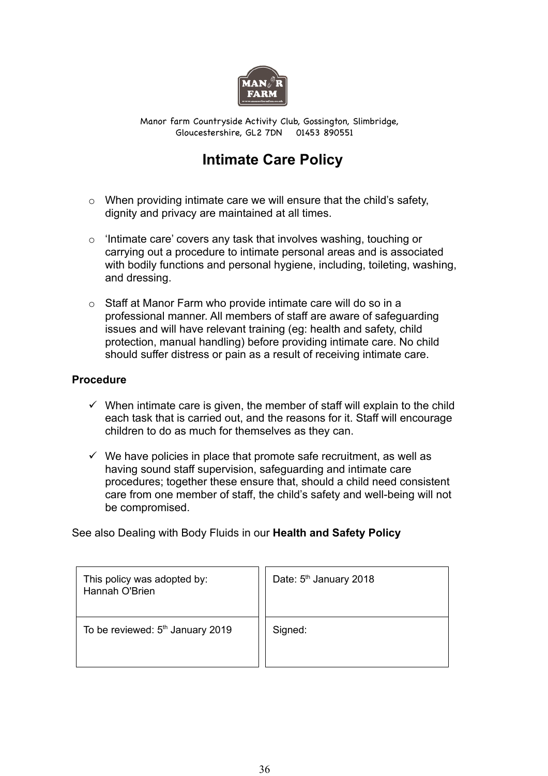

# **Intimate Care Policy**

- $\circ$  When providing intimate care we will ensure that the child's safety, dignity and privacy are maintained at all times.
- o 'Intimate care' covers any task that involves washing, touching or carrying out a procedure to intimate personal areas and is associated with bodily functions and personal hygiene, including, toileting, washing, and dressing.
- o Staff at Manor Farm who provide intimate care will do so in a professional manner. All members of staff are aware of safeguarding issues and will have relevant training (eg: health and safety, child protection, manual handling) before providing intimate care. No child should suffer distress or pain as a result of receiving intimate care.

#### **Procedure**

- $\checkmark$  When intimate care is given, the member of staff will explain to the child each task that is carried out, and the reasons for it. Staff will encourage children to do as much for themselves as they can.
- $\checkmark$  We have policies in place that promote safe recruitment, as well as having sound staff supervision, safeguarding and intimate care procedures; together these ensure that, should a child need consistent care from one member of staff, the child's safety and well-being will not be compromised.

See also Dealing with Body Fluids in our **Health and Safety Policy**

| This policy was adopted by:<br>Hannah O'Brien | Date: 5 <sup>th</sup> January 2018 |
|-----------------------------------------------|------------------------------------|
| To be reviewed: 5 <sup>th</sup> January 2019  | Signed:                            |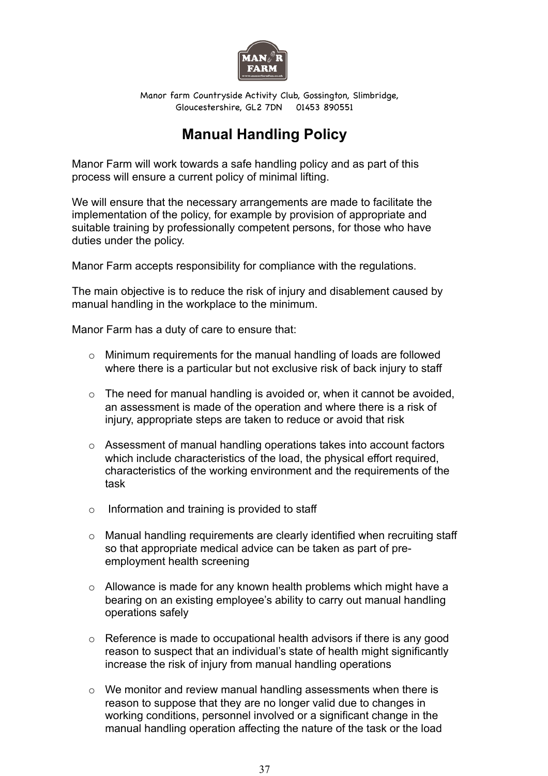

# **Manual Handling Policy**

Manor Farm will work towards a safe handling policy and as part of this process will ensure a current policy of minimal lifting.

We will ensure that the necessary arrangements are made to facilitate the implementation of the policy, for example by provision of appropriate and suitable training by professionally competent persons, for those who have duties under the policy.

Manor Farm accepts responsibility for compliance with the regulations.

The main objective is to reduce the risk of injury and disablement caused by manual handling in the workplace to the minimum.

Manor Farm has a duty of care to ensure that:

- o Minimum requirements for the manual handling of loads are followed where there is a particular but not exclusive risk of back injury to staff
- o The need for manual handling is avoided or, when it cannot be avoided, an assessment is made of the operation and where there is a risk of injury, appropriate steps are taken to reduce or avoid that risk
- o Assessment of manual handling operations takes into account factors which include characteristics of the load, the physical effort required, characteristics of the working environment and the requirements of the task
- $\circ$  Information and training is provided to staff
- o Manual handling requirements are clearly identified when recruiting staff so that appropriate medical advice can be taken as part of preemployment health screening
- $\circ$  Allowance is made for any known health problems which might have a bearing on an existing employee's ability to carry out manual handling operations safely
- $\circ$  Reference is made to occupational health advisors if there is any good reason to suspect that an individual's state of health might significantly increase the risk of injury from manual handling operations
- o We monitor and review manual handling assessments when there is reason to suppose that they are no longer valid due to changes in working conditions, personnel involved or a significant change in the manual handling operation affecting the nature of the task or the load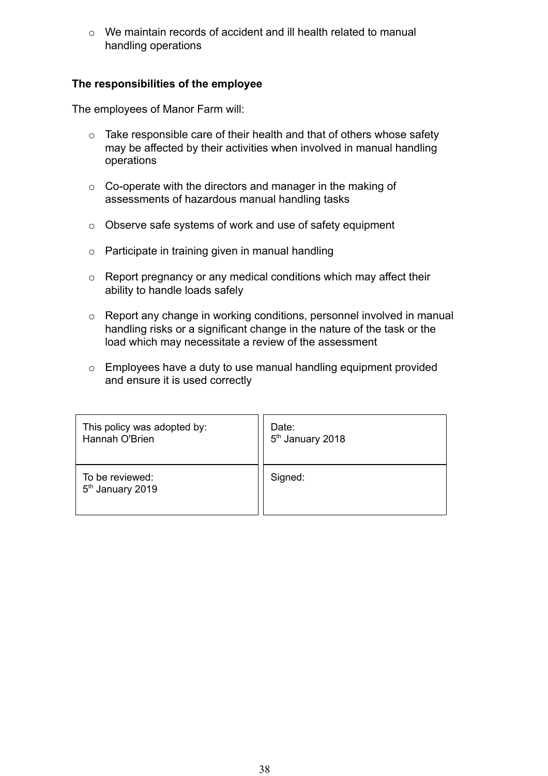o We maintain records of accident and ill health related to manual handling operations

#### **The responsibilities of the employee**

The employees of Manor Farm will:

- o Take responsible care of their health and that of others whose safety may be affected by their activities when involved in manual handling operations
- o Co-operate with the directors and manager in the making of assessments of hazardous manual handling tasks
- o Observe safe systems of work and use of safety equipment
- o Participate in training given in manual handling
- $\circ$  Report pregnancy or any medical conditions which may affect their ability to handle loads safely
- o Report any change in working conditions, personnel involved in manual handling risks or a significant change in the nature of the task or the load which may necessitate a review of the assessment
- $\circ$  Employees have a duty to use manual handling equipment provided and ensure it is used correctly

| This policy was adopted by:                     | Date:                        |
|-------------------------------------------------|------------------------------|
| Hannah O'Brien                                  | 5 <sup>th</sup> January 2018 |
| To be reviewed:<br>5 <sup>th</sup> January 2019 | Signed:                      |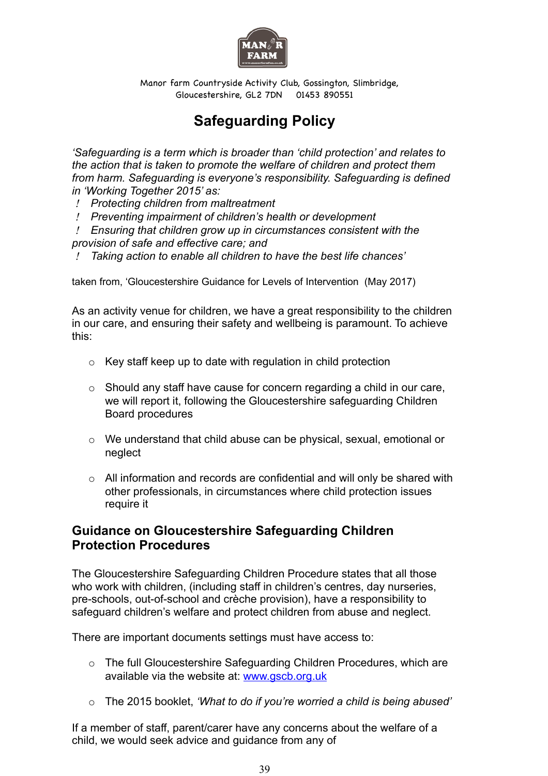

# **Safeguarding Policy**

*'Safeguarding is a term which is broader than 'child protection' and relates to the action that is taken to promote the welfare of children and protect them from harm. Safeguarding is everyone's responsibility. Safeguarding is defined in 'Working Together 2015' as:*

- *Protecting children from maltreatment*
- *Preventing impairment of children's health or development*

 *Ensuring that children grow up in circumstances consistent with the provision of safe and effective care; and*

 *Taking action to enable all children to have the best life chances'*

taken from, 'Gloucestershire Guidance for Levels of Intervention (May 2017)

As an activity venue for children, we have a great responsibility to the children in our care, and ensuring their safety and wellbeing is paramount. To achieve this:

- $\circ$  Key staff keep up to date with regulation in child protection
- o Should any staff have cause for concern regarding a child in our care, we will report it, following the Gloucestershire safeguarding Children Board procedures
- $\circ$  We understand that child abuse can be physical, sexual, emotional or neglect
- o All information and records are confidential and will only be shared with other professionals, in circumstances where child protection issues require it

### **Guidance on Gloucestershire Safeguarding Children Protection Procedures**

The Gloucestershire Safeguarding Children Procedure states that all those who work with children, (including staff in children's centres, day nurseries, pre-schools, out-of-school and crèche provision), have a responsibility to safeguard children's welfare and protect children from abuse and neglect.

There are important documents settings must have access to:

- o The full Gloucestershire Safeguarding Children Procedures, which are available via the website at: [www.gscb.org.uk](http://www.gscb.org.uk/)
- o The 2015 booklet, *'What to do if you're worried a child is being abused'*

If a member of staff, parent/carer have any concerns about the welfare of a child, we would seek advice and guidance from any of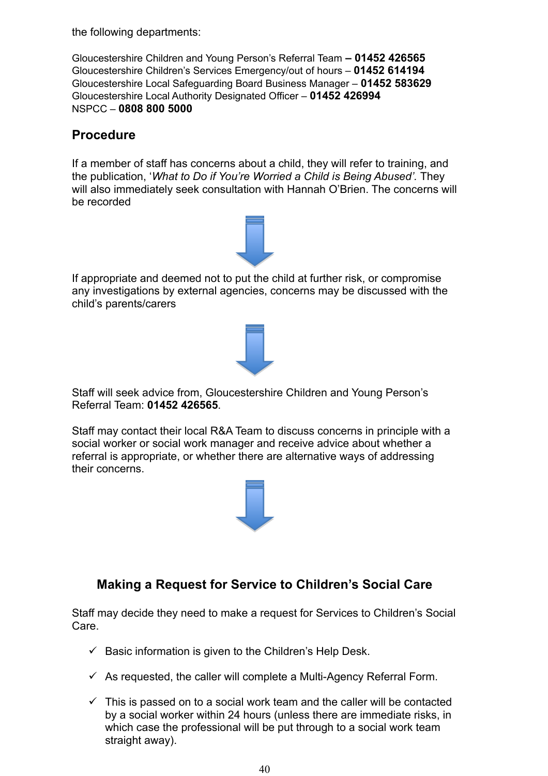the following departments:

Gloucestershire Children and Young Person's Referral Team **– 01452 426565** Gloucestershire Children's Services Emergency/out of hours – **01452 614194** Gloucestershire Local Safeguarding Board Business Manager – **01452 583629** Gloucestershire Local Authority Designated Officer – **01452 426994** NSPCC – **0808 800 5000**

### **Procedure**

If a member of staff has concerns about a child, they will refer to training, and the publication, '*What to Do if You're Worried a Child is Being Abused'.* They will also immediately seek consultation with Hannah O'Brien. The concerns will be recorded



If appropriate and deemed not to put the child at further risk, or compromise any investigations by external agencies, concerns may be discussed with the child's parents/carers



Staff will seek advice from, Gloucestershire Children and Young Person's Referral Team: **01452 426565**.

Staff may contact their local R&A Team to discuss concerns in principle with a social worker or social work manager and receive advice about whether a referral is appropriate, or whether there are alternative ways of addressing their concerns.



### **Making a Request for Service to Children's Social Care**

Staff may decide they need to make a request for Services to Children's Social Care.

- $\checkmark$  Basic information is given to the Children's Help Desk.
- $\checkmark$  As requested, the caller will complete a Multi-Agency Referral Form.
- $\checkmark$  This is passed on to a social work team and the caller will be contacted by a social worker within 24 hours (unless there are immediate risks, in which case the professional will be put through to a social work team straight away).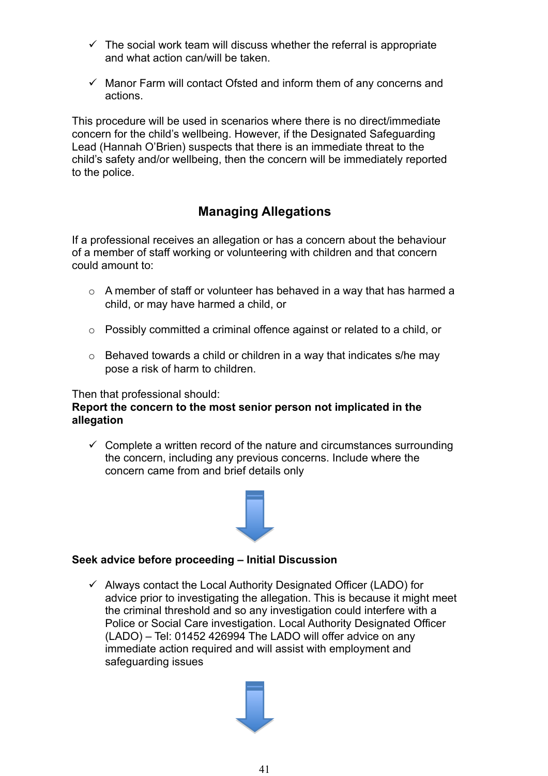- $\checkmark$  The social work team will discuss whether the referral is appropriate and what action can/will be taken.
- $\checkmark$  Manor Farm will contact Ofsted and inform them of any concerns and actions.

This procedure will be used in scenarios where there is no direct/immediate concern for the child's wellbeing. However, if the Designated Safeguarding Lead (Hannah O'Brien) suspects that there is an immediate threat to the child's safety and/or wellbeing, then the concern will be immediately reported to the police.

### **Managing Allegations**

If a professional receives an allegation or has a concern about the behaviour of a member of staff working or volunteering with children and that concern could amount to:

- $\circ$  A member of staff or volunteer has behaved in a way that has harmed a child, or may have harmed a child, or
- o Possibly committed a criminal offence against or related to a child, or
- $\circ$  Behaved towards a child or children in a way that indicates s/he may pose a risk of harm to children.

Then that professional should:

#### **Report the concern to the most senior person not implicated in the allegation**

 $\checkmark$  Complete a written record of the nature and circumstances surrounding the concern, including any previous concerns. Include where the concern came from and brief details only



### **Seek advice before proceeding – Initial Discussion**

 $\checkmark$  Always contact the Local Authority Designated Officer (LADO) for advice prior to investigating the allegation. This is because it might meet the criminal threshold and so any investigation could interfere with a Police or Social Care investigation. Local Authority Designated Officer (LADO) – Tel: 01452 426994 The LADO will offer advice on any immediate action required and will assist with employment and safequarding issues

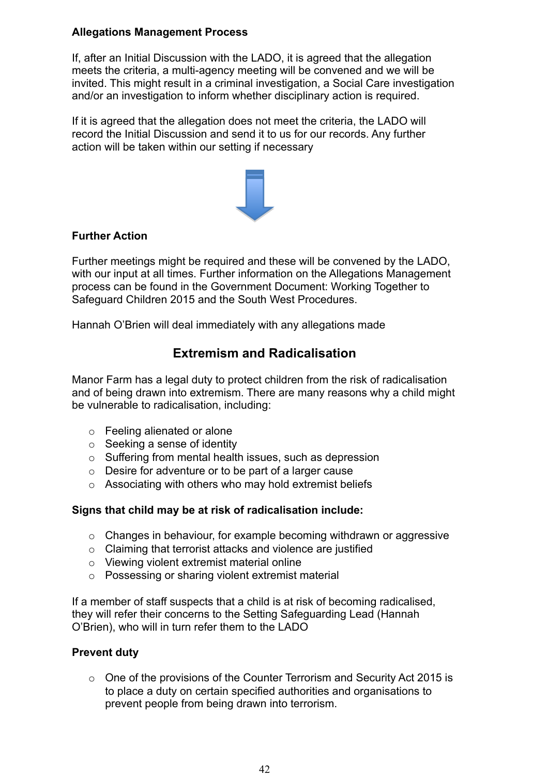#### **Allegations Management Process**

If, after an Initial Discussion with the LADO, it is agreed that the allegation meets the criteria, a multi-agency meeting will be convened and we will be invited. This might result in a criminal investigation, a Social Care investigation and/or an investigation to inform whether disciplinary action is required.

If it is agreed that the allegation does not meet the criteria, the LADO will record the Initial Discussion and send it to us for our records. Any further action will be taken within our setting if necessary



#### **Further Action**

Further meetings might be required and these will be convened by the LADO, with our input at all times. Further information on the Allegations Management process can be found in the Government Document: Working Together to Safeguard Children 2015 and the South West Procedures.

Hannah O'Brien will deal immediately with any allegations made

### **Extremism and Radicalisation**

Manor Farm has a legal duty to protect children from the risk of radicalisation and of being drawn into extremism. There are many reasons why a child might be vulnerable to radicalisation, including:

- o Feeling alienated or alone
- $\circ$  Seeking a sense of identity
- o Suffering from mental health issues, such as depression
- o Desire for adventure or to be part of a larger cause
- o Associating with others who may hold extremist beliefs

#### **Signs that child may be at risk of radicalisation include:**

- o Changes in behaviour, for example becoming withdrawn or aggressive
- o Claiming that terrorist attacks and violence are justified
- o Viewing violent extremist material online
- o Possessing or sharing violent extremist material

If a member of staff suspects that a child is at risk of becoming radicalised, they will refer their concerns to the Setting Safeguarding Lead (Hannah O'Brien), who will in turn refer them to the LADO

#### **Prevent duty**

o One of the provisions of the Counter Terrorism and Security Act 2015 is to place a duty on certain specified authorities and organisations to prevent people from being drawn into terrorism.